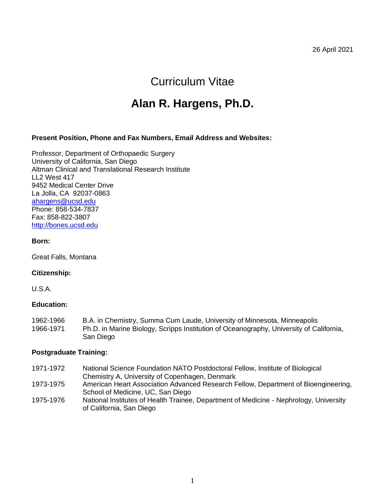26 April 2021

# Curriculum Vitae

# **Alan R. Hargens, Ph.D.**

#### **Present Position, Phone and Fax Numbers, Email Address and Websites:**

Professor, Department of Orthopaedic Surgery University of California, San Diego Altman Clinical and Translational Research Institute LL2 West 417 9452 Medical Center Drive La Jolla, CA 92037-0863 [ahargens@ucsd.edu](mailto:ahargens@ucsd.edu) Phone: 858-534-7837 Fax: 858-822-3807 [http://bones.ucsd.edu](http://bones.ucsd.edu/)

#### **Born:**

Great Falls, Montana

#### **Citizenship:**

U.S.A.

#### **Education:**

1962-1966 B.A. in Chemistry, Summa Cum Laude, University of Minnesota, Minneapolis 1966-1971 Ph.D. in Marine Biology, Scripps Institution of Oceanography, University of California, San Diego

#### **Postgraduate Training:**

- 1971-1972 National Science Foundation NATO Postdoctoral Fellow, Institute of Biological Chemistry A, University of Copenhagen, Denmark
- 1973-1975 American Heart Association Advanced Research Fellow, Department of Bioengineering, School of Medicine, UC, San Diego
- 1975-1976 National Institutes of Health Trainee, Department of Medicine Nephrology, University of California, San Diego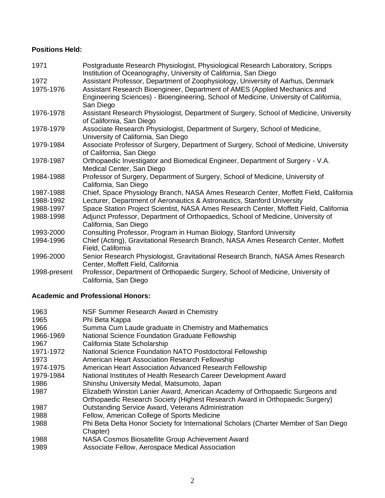### **Positions Held:**

| 1971         | Postgraduate Research Physiologist, Physiological Research Laboratory, Scripps<br>Institution of Oceanography, University of California, San Diego                              |
|--------------|---------------------------------------------------------------------------------------------------------------------------------------------------------------------------------|
| 1972         | Assistant Professor, Department of Zoophysiology, University of Aarhus, Denmark                                                                                                 |
| 1975-1976    | Assistant Research Bioengineer, Department of AMES (Applied Mechanics and<br>Engineering Sciences) - Bioengineering, School of Medicine, University of California,<br>San Diego |
| 1976-1978    | Assistant Research Physiologist, Department of Surgery, School of Medicine, University<br>of California, San Diego                                                              |
| 1978-1979    | Associate Research Physiologist, Department of Surgery, School of Medicine,<br>University of California, San Diego                                                              |
| 1979-1984    | Associate Professor of Surgery, Department of Surgery, School of Medicine, University<br>of California, San Diego                                                               |
| 1978-1987    | Orthopaedic Investigator and Biomedical Engineer, Department of Surgery - V.A.<br>Medical Center, San Diego                                                                     |
| 1984-1988    | Professor of Surgery, Department of Surgery, School of Medicine, University of<br>California, San Diego                                                                         |
| 1987-1988    | Chief, Space Physiology Branch, NASA Ames Research Center, Moffett Field, California                                                                                            |
| 1988-1992    | Lecturer, Department of Aeronautics & Astronautics, Stanford University                                                                                                         |
| 1988-1997    | Space Station Project Scientist, NASA Ames Research Center, Moffett Field, California                                                                                           |
| 1988-1998    | Adjunct Professor, Department of Orthopaedics, School of Medicine, University of<br>California, San Diego                                                                       |
| 1993-2000    | Consulting Professor, Program in Human Biology, Stanford University                                                                                                             |
| 1994-1996    | Chief (Acting), Gravitational Research Branch, NASA Ames Research Center, Moffett<br>Field, California                                                                          |
| 1996-2000    | Senior Research Physiologist, Gravitational Research Branch, NASA Ames Research<br>Center, Moffett Field, California                                                            |
| 1998-present | Professor, Department of Orthopaedic Surgery, School of Medicine, University of<br>California, San Diego                                                                        |

# **Academic and Professional Honors:**

| 1963      | NSF Summer Research Award in Chemistry                                               |
|-----------|--------------------------------------------------------------------------------------|
| 1965      | Phi Beta Kappa                                                                       |
| 1966      | Summa Cum Laude graduate in Chemistry and Mathematics                                |
| 1966-1969 | National Science Foundation Graduate Fellowship                                      |
| 1967      | California State Scholarship                                                         |
| 1971-1972 | National Science Foundation NATO Postdoctoral Fellowship                             |
| 1973      | American Heart Association Research Fellowship                                       |
| 1974-1975 | American Heart Association Advanced Research Fellowship                              |
| 1979-1984 | National Institutes of Health Research Career Development Award                      |
| 1986      | Shinshu University Medal, Matsumoto, Japan                                           |
| 1987      | Elizabeth Winston Lanier Award, American Academy of Orthopaedic Surgeons and         |
|           | Orthopaedic Research Society (Highest Research Award in Orthopaedic Surgery)         |
| 1987      | <b>Outstanding Service Award, Veterans Administration</b>                            |
| 1988      | Fellow, American College of Sports Medicine                                          |
| 1988      | Phi Beta Delta Honor Society for International Scholars (Charter Member of San Diego |
|           | Chapter)                                                                             |
| 1988      | NASA Cosmos Biosatellite Group Achievement Award                                     |
| 1989      | Associate Fellow, Aerospace Medical Association                                      |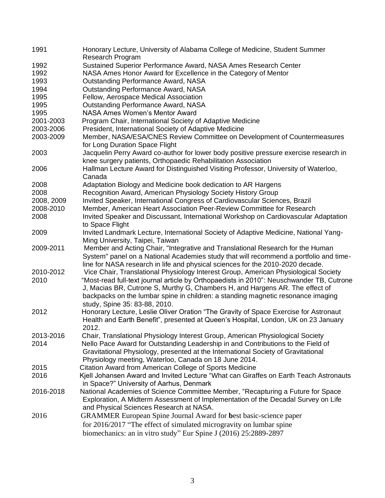| 1991       | Honorary Lecture, University of Alabama College of Medicine, Student Summer<br>Research Program            |
|------------|------------------------------------------------------------------------------------------------------------|
| 1992       | Sustained Superior Performance Award, NASA Ames Research Center                                            |
| 1992       | NASA Ames Honor Award for Excellence in the Category of Mentor                                             |
| 1993       | <b>Outstanding Performance Award, NASA</b>                                                                 |
| 1994       | <b>Outstanding Performance Award, NASA</b>                                                                 |
|            |                                                                                                            |
| 1995       | Fellow, Aerospace Medical Association                                                                      |
| 1995       | <b>Outstanding Performance Award, NASA</b>                                                                 |
| 1995       | <b>NASA Ames Women's Mentor Award</b>                                                                      |
| 2001-2003  | Program Chair, International Society of Adaptive Medicine                                                  |
| 2003-2006  | President, International Society of Adaptive Medicine                                                      |
| 2003-2009  | Member, NASA/ESA/CNES Review Committee on Development of Countermeasures<br>for Long Duration Space Flight |
| 2003       | Jacquelin Perry Award co-author for lower body positive pressure exercise research in                      |
|            | knee surgery patients, Orthopaedic Rehabilitation Association                                              |
| 2006       | Hallman Lecture Award for Distinguished Visiting Professor, University of Waterloo,                        |
|            | Canada                                                                                                     |
| 2008       | Adaptation Biology and Medicine book dedication to AR Hargens                                              |
| 2008       | Recognition Award, American Physiology Society History Group                                               |
| 2008, 2009 | Invited Speaker, International Congress of Cardiovascular Sciences, Brazil                                 |
| 2008-2010  | Member, American Heart Association Peer-Review Committee for Research                                      |
| 2008       | Invited Speaker and Discussant, International Workshop on Cardiovascular Adaptation                        |
|            | to Space Flight                                                                                            |
| 2009       | Invited Landmark Lecture, International Society of Adaptive Medicine, National Yang-                       |
|            | Ming University, Taipei, Taiwan                                                                            |
| 2009-2011  | Member and Acting Chair, "Integrative and Translational Research for the Human                             |
|            | System" panel on a National Academies study that will recommend a portfolio and time-                      |
|            | line for NASA research in life and physical sciences for the 2010-2020 decade.                             |
| 2010-2012  | Vice Chair, Translational Physiology Interest Group, American Physiological Society                        |
| 2010       | "Most-read full-text journal article by Orthopaedists in 2010": Neuschwander TB, Cutrone                   |
|            | J, Macias BR, Cutrone S, Murthy G, Chambers H, and Hargens AR. The effect of                               |
|            | backpacks on the lumbar spine in children: a standing magnetic resonance imaging                           |
|            | study, Spine 35: 83-88, 2010.                                                                              |
| 2012       | Honorary Lecture, Leslie Oliver Oration "The Gravity of Space Exercise for Astronaut                       |
|            | Health and Earth Benefit", presented at Queen's Hospital, London, UK on 23 January                         |
|            | 2012.                                                                                                      |
|            |                                                                                                            |
| 2013-2016  | Chair, Translational Physiology Interest Group, American Physiological Society                             |
| 2014       | Nello Pace Award for Outstanding Leadership in and Contributions to the Field of                           |
|            | Gravitational Physiology, presented at the International Society of Gravitational                          |
|            | Physiology meeting, Waterloo, Canada on 18 June 2014.                                                      |
| 2015       | Citation Award from American College of Sports Medicine                                                    |
| 2016       | Kjell Johansen Award and Invited Lecture "What can Giraffes on Earth Teach Astronauts                      |
|            | in Space?" University of Aarhus, Denmark                                                                   |
| 2016-2018  | National Academies of Science Committee Member, "Recapturing a Future for Space                            |
|            | Exploration, A Midterm Assessment of Implementation of the Decadal Survey on Life                          |
|            | and Physical Sciences Research at NASA.                                                                    |
| 2016       | GRAMMER European Spine Journal Award for best basic-science paper                                          |
|            | for 2016/2017 "The effect of simulated microgravity on lumbar spine                                        |
|            | biomechanics: an in vitro study" Eur Spine J (2016) 25:2889-2897                                           |
|            |                                                                                                            |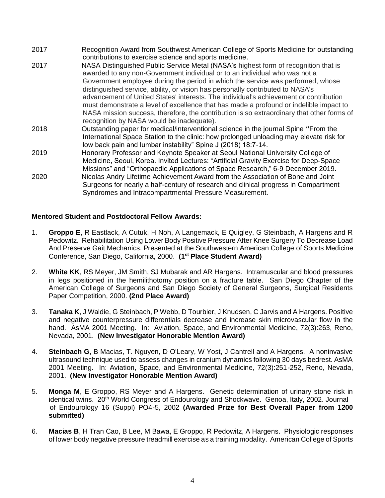- 2017 Recognition Award from Southwest American College of Sports Medicine for outstanding contributions to exercise science and sports medicine.
- 2017 NASA Distinguished Public Service Metal (NASA's highest form of recognition that is awarded to any non-Government individual or to an individual who was not a Government employee during the period in which the service was performed, whose distinguished service, ability, or vision has personally contributed to NASA's advancement of United States' interests. The individual's achievement or contribution must demonstrate a level of excellence that has made a profound or indelible impact to NASA mission success, therefore, the contribution is so extraordinary that other forms of recognition by NASA would be inadequate).
- 2018 Outstanding paper for medical/interventional science in the journal Spine **"**From the International Space Station to the clinic: how prolonged unloading may elevate risk for low back pain and lumbar instability" Spine J (2018) 18:7-14.
- 2019 Honorary Professor and Keynote Speaker at Seoul National University College of Medicine, Seoul, Korea. Invited Lectures: "Artificial Gravity Exercise for Deep-Space Missions" and "Orthopaedic Applications of Space Research," 6-9 December 2019.
- 2020 Nicolas Andry Lifetime Achievement Award from the Association of Bone and Joint Surgeons for nearly a half-century of research and clinical progress in Compartment Syndromes and Intracompartmental Pressure Measurement.

### **Mentored Student and Postdoctoral Fellow Awards:**

- 1. **Groppo E**, R Eastlack, A Cutuk, H Noh, A Langemack, E Quigley, G Steinbach, A Hargens and R Pedowitz. Rehabilitation Using Lower Body Positive Pressure After Knee Surgery To Decrease Load And Preserve Gait Mechanics. Presented at the Southwestern American College of Sports Medicine Conference, San Diego, California, 2000. **(1st Place Student Award)**
- 2. **White KK**, RS Meyer, JM Smith, SJ Mubarak and AR Hargens. Intramuscular and blood pressures in legs positioned in the hemilithotomy position on a fracture table. San Diego Chapter of the American College of Surgeons and San Diego Society of General Surgeons, Surgical Residents Paper Competition, 2000. **(2nd Place Award)**
- 3. **Tanaka K**, J Waldie, G Steinbach, P Webb, D Tourbier, J Knudsen, C Jarvis and A Hargens. Positive and negative counterpressure differentials decrease and increase skin microvascular flow in the hand. AsMA 2001 Meeting. In: Aviation, Space, and Environmental Medicine, 72(3):263, Reno, Nevada, 2001. **(New Investigator Honorable Mention Award)**
- 4. **Steinbach G**, B Macias, T. Nguyen, D O'Leary, W Yost, J Cantrell and A Hargens. A noninvasive ultrasound technique used to assess changes in cranium dynamics following 30 days bedrest. AsMA 2001 Meeting. In: Aviation, Space, and Environmental Medicine, 72(3):251-252, Reno, Nevada, 2001. **(New Investigator Honorable Mention Award)**
- 5. **Monga M**, E Groppo, RS Meyer and A Hargens. Genetic determination of urinary stone risk in identical twins. 20<sup>th</sup> World Congress of Endourology and Shockwave. Genoa, Italy, 2002. Journal of Endourology 16 (Suppl) PO4-5, 2002 **(Awarded Prize for Best Overall Paper from 1200 submitted)**
- 6. **Macias B**, H Tran Cao, B Lee, M Bawa, E Groppo, R Pedowitz, A Hargens. Physiologic responses of lower body negative pressure treadmill exercise as a training modality. American College of Sports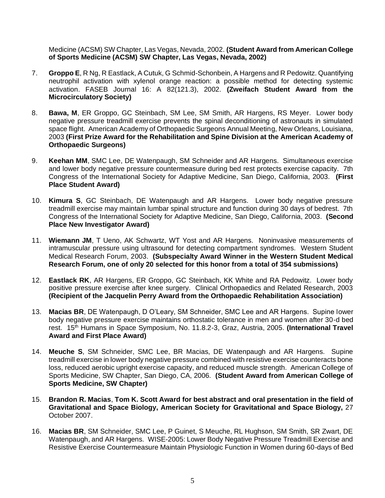Medicine (ACSM) SW Chapter, Las Vegas, Nevada, 2002. **(Student Award from American College of Sports Medicine (ACSM) SW Chapter, Las Vegas, Nevada, 2002)**

- 7. **Groppo E**, R Ng, R Eastlack, A Cutuk, G Schmid-Schonbein, A Hargens and R Pedowitz. Quantifying neutrophil activation with xylenol orange reaction: a possible method for detecting systemic activation. FASEB Journal 16: A 82(121.3), 2002. **(Zweifach Student Award from the Microcirculatory Society)**
- 8. **Bawa, M**, ER Groppo, GC Steinbach, SM Lee, SM Smith, AR Hargens, RS Meyer. Lower body negative pressure treadmill exercise prevents the spinal deconditioning of astronauts in simulated space flight. American Academy of Orthopaedic Surgeons Annual Meeting, New Orleans, Louisiana, 2003 **(First Prize Award for the Rehabilitation and Spine Division at the American Academy of Orthopaedic Surgeons)**
- 9. **Keehan MM**, SMC Lee, DE Watenpaugh, SM Schneider and AR Hargens. Simultaneous exercise and lower body negative pressure countermeasure during bed rest protects exercise capacity. 7th Congress of the International Society for Adaptive Medicine, San Diego, California, 2003. **(First Place Student Award)**
- 10. **Kimura S**, GC Steinbach, DE Watenpaugh and AR Hargens. Lower body negative pressure treadmill exercise may maintain lumbar spinal structure and function during 30 days of bedrest. 7th Congress of the International Society for Adaptive Medicine, San Diego, California, 2003. **(Second Place New Investigator Award)**
- 11. **Wiemann JM**, T Ueno, AK Schwartz, WT Yost and AR Hargens. Noninvasive measurements of intramuscular pressure using ultrasound for detecting compartment syndromes. Western Student Medical Research Forum, 2003. **(Subspecialty Award Winner in the Western Student Medical Research Forum, one of only 20 selected for this honor from a total of 354 submissions)**
- 12. **Eastlack RK**, AR Hargens, ER Groppo, GC Steinbach, KK White and RA Pedowitz. Lower body positive pressure exercise after knee surgery. Clinical Orthopaedics and Related Research, 2003 **(Recipient of the Jacquelin Perry Award from the Orthopaedic Rehabilitation Association)**
- 13. **Macias BR**, DE Watenpaugh, D O'Leary, SM Schneider, SMC Lee and AR Hargens. Supine lower body negative pressure exercise maintains orthostatic tolerance in men and women after 30-d bed rest. 15<sup>th</sup> Humans in Space Symposium, No. 11.8.2-3, Graz, Austria, 2005. (International Travel **Award and First Place Award)**
- 14. **Meuche S**, SM Schneider, SMC Lee, BR Macias, DE Watenpaugh and AR Hargens. Supine treadmill exercise in lower body negative pressure combined with resistive exercise counteracts bone loss, reduced aerobic upright exercise capacity, and reduced muscle strength. American College of Sports Medicine, SW Chapter, San Diego, CA, 2006. **(Student Award from American College of Sports Medicine, SW Chapter)**
- 15. **Brandon R. Macias**, **Tom K. Scott Award for best abstract and oral presentation in the field of Gravitational and Space Biology, American Society for Gravitational and Space Biology,** 27 October 2007.
- 16. **Macias BR**, SM Schneider, SMC Lee, P Guinet, S Meuche, RL Hughson, SM Smith, SR Zwart, DE Watenpaugh, and AR Hargens. WISE-2005: Lower Body Negative Pressure Treadmill Exercise and Resistive Exercise Countermeasure Maintain Physiologic Function in Women during 60-days of Bed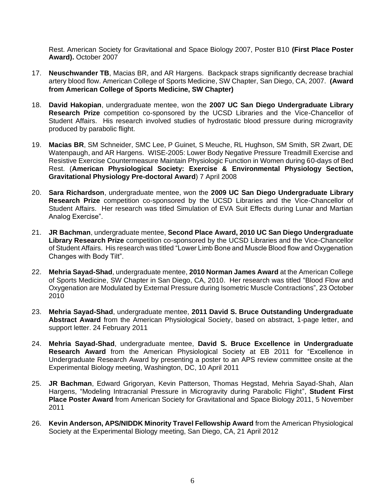Rest. American Society for Gravitational and Space Biology 2007, Poster B10 **(First Place Poster Award).** October 2007

- 17. **Neuschwander TB**, Macias BR, and AR Hargens. Backpack straps significantly decrease brachial artery blood flow. American College of Sports Medicine, SW Chapter, San Diego, CA, 2007. **(Award from American College of Sports Medicine, SW Chapter)**
- 18. **David Hakopian**, undergraduate mentee, won the **2007 UC San Diego Undergraduate Library Research Prize** competition co-sponsored by the UCSD Libraries and the Vice-Chancellor of Student Affairs. His research involved studies of hydrostatic blood pressure during microgravity produced by parabolic flight.
- 19. **Macias BR**, SM Schneider, SMC Lee, P Guinet, S Meuche, RL Hughson, SM Smith, SR Zwart, DE Watenpaugh, and AR Hargens. WISE-2005: Lower Body Negative Pressure Treadmill Exercise and Resistive Exercise Countermeasure Maintain Physiologic Function in Women during 60-days of Bed Rest. (**American Physiological Society: Exercise & Environmental Physiology Section, Gravitational Physiology Pre-doctoral Award**) 7 April 2008
- 20. **Sara Richardson**, undergraduate mentee, won the **2009 UC San Diego Undergraduate Library Research Prize** competition co-sponsored by the UCSD Libraries and the Vice-Chancellor of Student Affairs. Her research was titled Simulation of EVA Suit Effects during Lunar and Martian Analog Exercise".
- 21. **JR Bachman**, undergraduate mentee, **Second Place Award, 2010 UC San Diego Undergraduate Library Research Prize** competition co-sponsored by the UCSD Libraries and the Vice-Chancellor of Student Affairs. His research was titled "Lower Limb Bone and Muscle Blood flow and Oxygenation Changes with Body Tilt".
- 22. **Mehria Sayad-Shad**, undergraduate mentee, **2010 Norman James Award** at the American College of Sports Medicine, SW Chapter in San Diego, CA, 2010. Her research was titled "Blood Flow and Oxygenation are Modulated by External Pressure during Isometric Muscle Contractions", 23 October 2010
- 23. **Mehria Sayad-Shad**, undergraduate mentee, **2011 David S. Bruce Outstanding Undergraduate Abstract Award** from the American Physiological Society, based on abstract, 1-page letter, and support letter. 24 February 2011
- 24. **Mehria Sayad-Shad**, undergraduate mentee, **David S. Bruce Excellence in Undergraduate Research Award** from the American Physiological Society at EB 2011 for "Excellence in Undergraduate Research Award by presenting a poster to an APS review committee onsite at the Experimental Biology meeting, Washington, DC, 10 April 2011
- 25. **JR Bachman**, Edward Grigoryan, Kevin Patterson, Thomas Hegstad, Mehria Sayad-Shah, Alan Hargens, "Modeling Intracranial Pressure in Microgravity during Parabolic Flight", **Student First Place Poster Award** from American Society for Gravitational and Space Biology 2011, 5 November 2011
- 26. **Kevin Anderson, APS/NIDDK Minority Travel Fellowship Award** from the American Physiological Society at the Experimental Biology meeting, San Diego, CA, 21 April 2012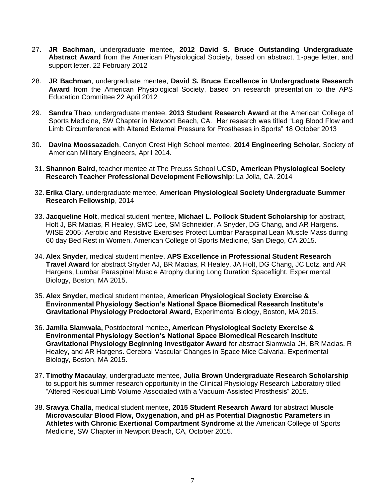- 27. **JR Bachman**, undergraduate mentee, **2012 David S. Bruce Outstanding Undergraduate Abstract Award** from the American Physiological Society, based on abstract, 1-page letter, and support letter. 22 February 2012
- 28. **JR Bachman**, undergraduate mentee, **David S. Bruce Excellence in Undergraduate Research Award** from the American Physiological Society, based on research presentation to the APS Education Committee 22 April 2012
- 29. **Sandra Thao**, undergraduate mentee, **2013 Student Research Award** at the American College of Sports Medicine, SW Chapter in Newport Beach, CA. Her research was titled "Leg Blood Flow and Limb Circumference with Altered External Pressure for Prostheses in Sports" 18 October 2013
- 30. **Davina Moossazadeh**, Canyon Crest High School mentee, **2014 Engineering Scholar,** Society of American Military Engineers, April 2014.
- 31. **Shannon Baird**, teacher mentee at The Preuss School UCSD, **American Physiological Society Research Teacher Professional Development Fellowship**: La Jolla, CA. 2014
- 32. **Erika Clary,** undergraduate mentee, **American Physiological Society Undergraduate Summer Research Fellowship**, 2014
- 33. **Jacqueline Holt**, medical student mentee, **Michael L. Pollock Student Scholarship** for abstract, Holt J, BR Macias, R Healey, SMC Lee, SM Schneider, A Snyder, DG Chang, and AR Hargens. WISE 2005: Aerobic and Resistive Exercises Protect Lumbar Paraspinal Lean Muscle Mass during 60 day Bed Rest in Women. American College of Sports Medicine, San Diego, CA 2015.
- 34. **Alex Snyder,** medical student mentee, **APS Excellence in Professional Student Research Travel Award** for abstract Snyder AJ, BR Macias, R Healey, JA Holt, DG Chang, JC Lotz, and AR Hargens, Lumbar Paraspinal Muscle Atrophy during Long Duration Spaceflight. Experimental Biology, Boston, MA 2015.
- 35. **Alex Snyder,** medical student mentee, **American Physiological Society Exercise & Environmental Physiology Section's National Space Biomedical Research Institute's Gravitational Physiology Predoctoral Award**, Experimental Biology, Boston, MA 2015.
- 36. **Jamila Siamwala,** Postdoctoral mentee**, American Physiological Society Exercise & Environmental Physiology Section's National Space Biomedical Research Institute Gravitational Physiology Beginning Investigator Award** for abstract Siamwala JH, BR Macias, R Healey, and AR Hargens. Cerebral Vascular Changes in Space Mice Calvaria. Experimental Biology, Boston, MA 2015.
- 37. **Timothy Macaulay**, undergraduate mentee, **Julia Brown Undergraduate Research Scholarship** to support his summer research opportunity in the Clinical Physiology Research Laboratory titled "Altered Residual Limb Volume Associated with a Vacuum-Assisted Prosthesis" 2015.
- 38. **Sravya Challa**, medical student mentee, **2015 Student Research Award** for abstract **Muscle Microvascular Blood Flow, Oxygenation, and pH as Potential Diagnostic Parameters in Athletes with Chronic Exertional Compartment Syndrome** at the American College of Sports Medicine, SW Chapter in Newport Beach, CA, October 2015.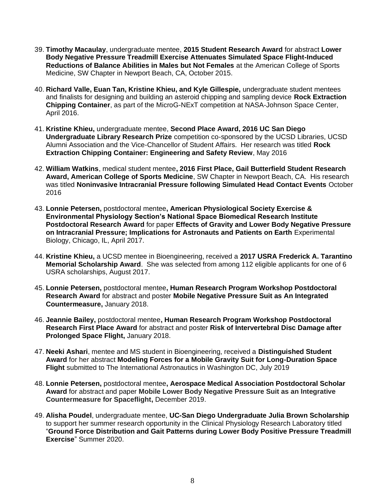- 39. **Timothy Macaulay**, undergraduate mentee, **2015 Student Research Award** for abstract **Lower Body Negative Pressure Treadmill Exercise Attenuates Simulated Space Flight-Induced Reductions of Balance Abilities in Males but Not Females** at the American College of Sports Medicine, SW Chapter in Newport Beach, CA, October 2015.
- 40. **Richard Valle, Euan Tan, Kristine Khieu, and Kyle Gillespie,** undergraduate student mentees and finalists for designing and building an asteroid chipping and sampling device **Rock Extraction Chipping Container**, as part of the MicroG-NExT competition at NASA-Johnson Space Center, April 2016.
- 41. **Kristine Khieu,** undergraduate mentee, **Second Place Award, 2016 UC San Diego Undergraduate Library Research Prize** competition co-sponsored by the UCSD Libraries, UCSD Alumni Association and the Vice-Chancellor of Student Affairs. Her research was titled **Rock Extraction Chipping Container: Engineering and Safety Review**, May 2016
- 42. **William Watkins**, medical student mentee**, 2016 First Place, Gail Butterfield Student Research Award, American College of Sports Medicine**, SW Chapter in Newport Beach, CA. His research was titled **Noninvasive Intracranial Pressure following Simulated Head Contact Events** October 2016
- 43. **Lonnie Petersen,** postdoctoral mentee**, American Physiological Society Exercise & Environmental Physiology Section's National Space Biomedical Research Institute Postdoctoral Research Award** for paper **Effects of Gravity and Lower Body Negative Pressure on Intracranial Pressure; Implications for Astronauts and Patients on Earth** Experimental Biology, Chicago, IL, April 2017.
- 44. **Kristine Khieu,** a UCSD mentee in Bioengineering, received a **2017 USRA Frederick A. Tarantino Memorial Scholarship Award**. She was selected from among 112 eligible applicants for one of 6 USRA scholarships, August 2017.
- 45. **Lonnie Petersen,** postdoctoral mentee**, Human Research Program Workshop Postdoctoral Research Award** for abstract and poster **Mobile Negative Pressure Suit as An Integrated Countermeasure,** January 2018.
- 46. **Jeannie Bailey,** postdoctoral mentee**, Human Research Program Workshop Postdoctoral Research First Place Award** for abstract and poster **Risk of Intervertebral Disc Damage after Prolonged Space Flight,** January 2018.
- 47. **Neeki Ashari**, mentee and MS student in Bioengineering, received a **Distinguished Student Award** for her abstract **Modeling Forces for a Mobile Gravity Suit for Long-Duration Space Flight** submitted to The International Astronautics in Washington DC, July 2019
- 48. **Lonnie Petersen,** postdoctoral mentee**, Aerospace Medical Association Postdoctoral Scholar Award** for abstract and paper **Mobile Lower Body Negative Pressure Suit as an Integrative Countermeasure for Spaceflight,** December 2019.
- 49. **Alisha Poudel**, undergraduate mentee, **UC-San Diego Undergraduate Julia Brown Scholarship** to support her summer research opportunity in the Clinical Physiology Research Laboratory titled "**Ground Force Distribution and Gait Patterns during Lower Body Positive Pressure Treadmill Exercise**" Summer 2020.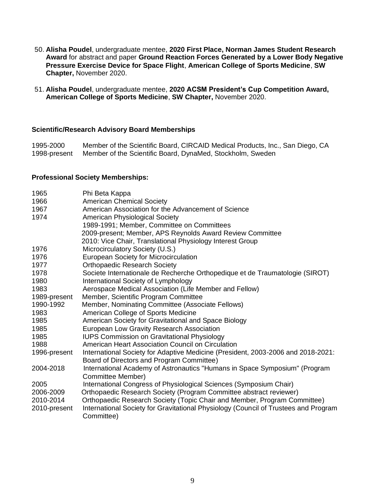- 50. **Alisha Poudel**, undergraduate mentee, **2020 First Place, Norman James Student Research Award** for abstract and paper **Ground Reaction Forces Generated by a Lower Body Negative Pressure Exercise Device for Space Flight**, **American College of Sports Medicine**, **SW Chapter,** November 2020.
- 51. **Alisha Poudel**, undergraduate mentee, **2020 ACSM President's Cup Competition Award, American College of Sports Medicine**, **SW Chapter,** November 2020.

#### **Scientific/Research Advisory Board Memberships**

1995-2000 Member of the Scientific Board, CIRCAID Medical Products, Inc., San Diego, CA 1998-present Member of the Scientific Board, DynaMed, Stockholm, Sweden

#### **Professional Society Memberships:**

| 1965         | Phi Beta Kappa                                                                      |
|--------------|-------------------------------------------------------------------------------------|
| 1966         | <b>American Chemical Society</b>                                                    |
| 1967         | American Association for the Advancement of Science                                 |
| 1974         | American Physiological Society                                                      |
|              | 1989-1991; Member, Committee on Committees                                          |
|              | 2009-present; Member, APS Reynolds Award Review Committee                           |
|              | 2010: Vice Chair, Translational Physiology Interest Group                           |
| 1976         | Microcirculatory Society (U.S.)                                                     |
| 1976         | <b>European Society for Microcirculation</b>                                        |
| 1977         | <b>Orthopaedic Research Society</b>                                                 |
| 1978         | Societe Internationale de Recherche Orthopedique et de Traumatologie (SIROT)        |
| 1980         | International Society of Lymphology                                                 |
| 1983         | Aerospace Medical Association (Life Member and Fellow)                              |
| 1989-present | Member, Scientific Program Committee                                                |
| 1990-1992    | Member, Nominating Committee (Associate Fellows)                                    |
| 1983         | American College of Sports Medicine                                                 |
| 1985         | American Society for Gravitational and Space Biology                                |
| 1985         | European Low Gravity Research Association                                           |
| 1985         | <b>IUPS Commission on Gravitational Physiology</b>                                  |
| 1988         | American Heart Association Council on Circulation                                   |
| 1996-present | International Society for Adaptive Medicine (President, 2003-2006 and 2018-2021:    |
|              | Board of Directors and Program Committee)                                           |
| 2004-2018    | International Academy of Astronautics "Humans in Space Symposium" (Program          |
|              | Committee Member)                                                                   |
| 2005         | International Congress of Physiological Sciences (Symposium Chair)                  |
| 2006-2009    | Orthopaedic Research Society (Program Committee abstract reviewer)                  |
| 2010-2014    | Orthopaedic Research Society (Topic Chair and Member, Program Committee)            |
| 2010-present | International Society for Gravitational Physiology (Council of Trustees and Program |
|              | Committee)                                                                          |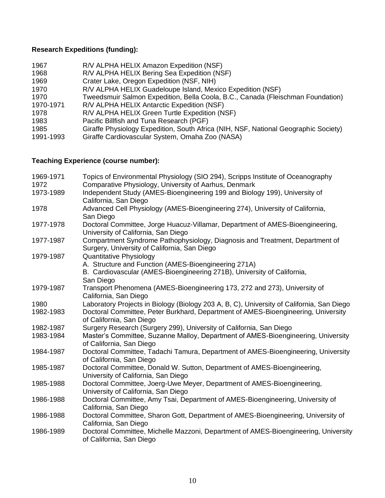# **Research Expeditions (funding):**

| 1967      | R/V ALPHA HELIX Amazon Expedition (NSF)                                             |
|-----------|-------------------------------------------------------------------------------------|
| 1968      | R/V ALPHA HELIX Bering Sea Expedition (NSF)                                         |
| 1969      | Crater Lake, Oregon Expedition (NSF, NIH)                                           |
| 1970      | R/V ALPHA HELIX Guadeloupe Island, Mexico Expedition (NSF)                          |
| 1970      | Tweedsmuir Salmon Expedition, Bella Coola, B.C., Canada (Fleischman Foundation)     |
| 1970-1971 | R/V ALPHA HELIX Antarctic Expedition (NSF)                                          |
| 1978      | R/V ALPHA HELIX Green Turtle Expedition (NSF)                                       |
| 1983      | Pacific Billfish and Tuna Research (PGF)                                            |
| 1985      | Giraffe Physiology Expedition, South Africa (NIH, NSF, National Geographic Society) |
| 1991-1993 | Giraffe Cardiovascular System, Omaha Zoo (NASA)                                     |

# **Teaching Experience (course number):**

| 1969-1971 | Topics of Environmental Physiology (SIO 294), Scripps Institute of Oceanography                                              |
|-----------|------------------------------------------------------------------------------------------------------------------------------|
| 1972      | Comparative Physiology, University of Aarhus, Denmark                                                                        |
| 1973-1989 | Independent Study (AMES-Bioengineering 199 and Biology 199), University of<br>California, San Diego                          |
| 1978      | Advanced Cell Physiology (AMES-Bioengineering 274), University of California,                                                |
|           | San Diego                                                                                                                    |
| 1977-1978 | Doctoral Committee, Jorge Huacuz-Villamar, Department of AMES-Bioengineering,<br>University of California, San Diego         |
| 1977-1987 | Compartment Syndrome Pathophysiology, Diagnosis and Treatment, Department of<br>Surgery, University of California, San Diego |
| 1979-1987 | Quantitative Physiology                                                                                                      |
|           | A. Structure and Function (AMES-Bioengineering 271A)                                                                         |
|           | B. Cardiovascular (AMES-Bioengineering 271B), University of California,                                                      |
|           | San Diego                                                                                                                    |
| 1979-1987 | Transport Phenomena (AMES-Bioengineering 173, 272 and 273), University of<br>California, San Diego                           |
| 1980      | Laboratory Projects in Biology (Biology 203 A, B, C), University of California, San Diego                                    |
| 1982-1983 | Doctoral Committee, Peter Burkhard, Department of AMES-Bioengineering, University                                            |
|           | of California, San Diego                                                                                                     |
| 1982-1987 | Surgery Research (Surgery 299), University of California, San Diego                                                          |
| 1983-1984 | Master's Committee, Suzanne Malloy, Department of AMES-Bioengineering, University<br>of California, San Diego                |
| 1984-1987 | Doctoral Committee, Tadachi Tamura, Department of AMES-Bioengineering, University<br>of California, San Diego                |
| 1985-1987 | Doctoral Committee, Donald W. Sutton, Department of AMES-Bioengineering,<br>University of California, San Diego              |
| 1985-1988 | Doctoral Committee, Joerg-Uwe Meyer, Department of AMES-Bioengineering,<br>University of California, San Diego               |
| 1986-1988 | Doctoral Committee, Amy Tsai, Department of AMES-Bioengineering, University of<br>California, San Diego                      |
| 1986-1988 | Doctoral Committee, Sharon Gott, Department of AMES-Bioengineering, University of<br>California, San Diego                   |
| 1986-1989 | Doctoral Committee, Michelle Mazzoni, Department of AMES-Bioengineering, University<br>of California, San Diego              |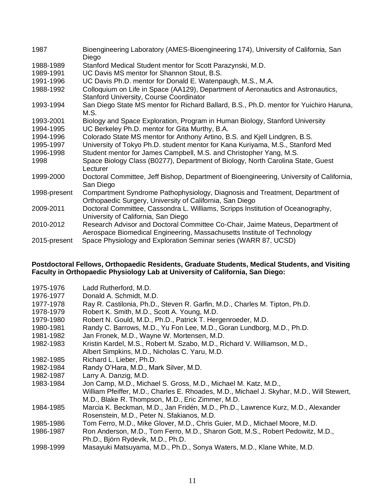| 1987         | Bioengineering Laboratory (AMES-Bioengineering 174), University of California, San<br>Diego                                                              |
|--------------|----------------------------------------------------------------------------------------------------------------------------------------------------------|
| 1988-1989    | Stanford Medical Student mentor for Scott Parazynski, M.D.                                                                                               |
| 1989-1991    | UC Davis MS mentor for Shannon Stout, B.S.                                                                                                               |
| 1991-1996    | UC Davis Ph.D. mentor for Donald E. Watenpaugh, M.S., M.A.                                                                                               |
| 1988-1992    | Colloquium on Life in Space (AA129), Department of Aeronautics and Astronautics,<br><b>Stanford University, Course Coordinator</b>                       |
| 1993-1994    | San Diego State MS mentor for Richard Ballard, B.S., Ph.D. mentor for Yuichiro Haruna,<br>M.S.                                                           |
| 1993-2001    | Biology and Space Exploration, Program in Human Biology, Stanford University                                                                             |
| 1994-1995    | UC Berkeley Ph.D. mentor for Gita Murthy, B.A.                                                                                                           |
| 1994-1996    | Colorado State MS mentor for Anthony Artino, B.S. and Kjell Lindgren, B.S.                                                                               |
| 1995-1997    | University of Tokyo Ph.D. student mentor for Kana Kuriyama, M.S., Stanford Med                                                                           |
| 1996-1998    | Student mentor for James Campbell, M.S. and Christopher Yang, M.S.                                                                                       |
| 1998         | Space Biology Class (B0277), Department of Biology, North Carolina State, Guest<br>Lecturer                                                              |
| 1999-2000    | Doctoral Committee, Jeff Bishop, Department of Bioengineering, University of California,<br>San Diego                                                    |
| 1998-present | Compartment Syndrome Pathophysiology, Diagnosis and Treatment, Department of<br>Orthopaedic Surgery, University of California, San Diego                 |
| 2009-2011    | Doctoral Committee, Cassondra L. Williams, Scripps Institution of Oceanography,<br>University of California, San Diego                                   |
| 2010-2012    | Research Advisor and Doctoral Committee Co-Chair, Jaime Mateus, Department of<br>Aerospace Biomedical Engineering, Massachusetts Institute of Technology |
| 2015-present | Space Physiology and Exploration Seminar series (WARR 87, UCSD)                                                                                          |

#### **Postdoctoral Fellows, Orthopaedic Residents, Graduate Students, Medical Students, and Visiting Faculty in Orthopaedic Physiology Lab at University of California, San Diego:**

| 1975-1976 | Ladd Rutherford, M.D.                                                                    |
|-----------|------------------------------------------------------------------------------------------|
| 1976-1977 | Donald A. Schmidt, M.D.                                                                  |
| 1977-1978 | Ray R. Castilonia, Ph.D., Steven R. Garfin, M.D., Charles M. Tipton, Ph.D.               |
| 1978-1979 | Robert K. Smith, M.D., Scott A. Young, M.D.                                              |
| 1979-1980 | Robert N. Gould, M.D., Ph.D., Patrick T. Hergenroeder, M.D.                              |
| 1980-1981 | Randy C. Barrows, M.D., Yu Fon Lee, M.D., Goran Lundborg, M.D., Ph.D.                    |
| 1981-1982 | Jan Fronek, M.D., Wayne W. Mortensen, M.D.                                               |
| 1982-1983 | Kristin Kardel, M.S., Robert M. Szabo, M.D., Richard V. Williamson, M.D.,                |
|           | Albert Simpkins, M.D., Nicholas C. Yaru, M.D.                                            |
| 1982-1985 | Richard L. Lieber, Ph.D.                                                                 |
| 1982-1984 | Randy O'Hara, M.D., Mark Silver, M.D.                                                    |
| 1982-1987 | Larry A. Danzig, M.D.                                                                    |
| 1983-1984 | Jon Camp, M.D., Michael S. Gross, M.D., Michael M. Katz, M.D.,                           |
|           | William Pfeiffer, M.D., Charles E. Rhoades, M.D., Michael J. Skyhar, M.D., Will Stewert, |
|           | M.D., Blake R. Thompson, M.D., Eric Zimmer, M.D.                                         |
| 1984-1985 | Marcia K. Beckman, M.D., Jan Fridén, M.D., Ph.D., Lawrence Kurz, M.D., Alexander         |
|           | Rosenstein, M.D., Peter N. Sfakianos, M.D.                                               |
| 1985-1986 | Tom Ferro, M.D., Mike Glover, M.D., Chris Guier, M.D., Michael Moore, M.D.               |
| 1986-1987 | Ron Anderson, M.D., Tom Ferro, M.D., Sharon Gott, M.S., Robert Pedowitz, M.D.,           |
|           | Ph.D., Björn Rydevik, M.D., Ph.D.                                                        |
| 1998-1999 | Masayuki Matsuyama, M.D., Ph.D., Sonya Waters, M.D., Klane White, M.D.                   |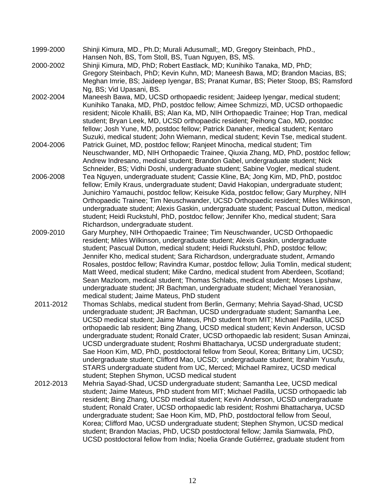- 1999-2000 Shinji Kimura, MD., Ph.D; Murali Adusumall;, MD, Gregory Steinbach, PhD., Hansen Noh, BS, Tom Stoll, BS, Tuan Nguyen, BS, MS.
- 2000-2002 Shinji Kimura, MD, PhD; Robert Eastlack, MD; Kunihiko Tanaka, MD, PhD; Gregory Steinbach, PhD; Kevin Kuhn, MD; Maneesh Bawa, MD; Brandon Macias, BS; Meghan Imrie, BS; Jaideep Iyengar, BS; Pranat Kumar, BS; Pieter Stoop, BS; Ramsford Ng, BS; Vid Upasani, BS.
- 2002-2004 Maneesh Bawa, MD, UCSD orthopaedic resident; Jaideep Iyengar, medical student; Kunihiko Tanaka, MD, PhD, postdoc fellow; Aimee Schmizzi, MD, UCSD orthopaedic resident; Nicole Khalili, BS; Alan Ka, MD, NIH Orthopaedic Trainee; Hop Tran, medical student; Bryan Leek, MD, UCSD orthopaedic resident; Peihong Cao, MD, postdoc fellow; Josh Yune, MD, postdoc fellow; Patrick Danaher, medical student; Kentaro Suzuki, medical student; John Wiemann, medical student; Kevin Tse, medical student.
- 2004-2006 Patrick Guinet, MD, postdoc fellow; Ranjeet Minocha, medical student; Tim Neuschwander, MD, NIH Orthopaedic Trainee, Qiuxia Zhang, MD, PhD, postdoc fellow; Andrew Indresano, medical student; Brandon Gabel, undergraduate student; Nick Schneider, BS; Vidhi Doshi, undergraduate student; Sabine Vogler, medical student.
- 2006-2008 Tea Nguyen, undergraduate student; Cassie Kline, BA; Jong Kim, MD, PhD, postdoc fellow; Emily Kraus, undergraduate student; David Hakopian, undergraduate student; Junichiro Yamauchi, postdoc fellow; Keisuke Kida, postdoc fellow; Gary Murphey, NIH Orthopaedic Trainee; Tim Neuschwander, UCSD Orthopaedic resident; Miles Wilkinson, undergraduate student; Alexis Gaskin, undergraduate student; Pascual Dutton, medical student; Heidi Ruckstuhl, PhD, postdoc fellow; Jennifer Kho, medical student; Sara Richardson, undergraduate student.
- 2009-2010 Gary Murphey, NIH Orthopaedic Trainee; Tim Neuschwander, UCSD Orthopaedic resident; Miles Wilkinson, undergraduate student; Alexis Gaskin, undergraduate student; Pascual Dutton, medical student; Heidi Ruckstuhl, PhD, postdoc fellow; Jennifer Kho, medical student; Sara Richardson, undergraduate student, Armando Rosales, postdoc fellow; Ravindra Kumar, postdoc fellow; Julia Tomlin, medical student; Matt Weed, medical student; Mike Cardno, medical student from Aberdeen, Scotland; Sean Mazloom, medical student; Thomas Schlabs, medical student; Moses Lipshaw, undergraduate student; JR Bachman, undergraduate student; Michael Yeranosian, medical student; Jaime Mateus, PhD student
- 2011-2012 Thomas Schlabs, medical student from Berlin, Germany; Mehria Sayad-Shad, UCSD undergraduate student; JR Bachman, UCSD undergraduate student; Samantha Lee, UCSD medical student; Jaime Mateus, PhD student from MIT; Michael Padilla, UCSD orthopaedic lab resident; Bing Zhang, UCSD medical student; Kevin Anderson, UCSD undergraduate student; Ronald Crater, UCSD orthopaedic lab resident; Susan Aminzai, UCSD undergraduate student; Roshmi Bhattacharya, UCSD undergraduate student; Sae Hoon Kim, MD, PhD, postdoctoral fellow from Seoul, Korea; Brittany Lim, UCSD; undergraduate student; Clifford Mao, UCSD; undergraduate student; Ibrahim Yusufu, STARS undergraduate student from UC, Merced; Michael Ramirez, UCSD medical student; Stephen Shymon, UCSD medical student
- 2012-2013 Mehria Sayad-Shad, UCSD undergraduate student; Samantha Lee, UCSD medical student; Jaime Mateus, PhD student from MIT; Michael Padilla, UCSD orthopaedic lab resident; Bing Zhang, UCSD medical student; Kevin Anderson, UCSD undergraduate student; Ronald Crater, UCSD orthopaedic lab resident; Roshmi Bhattacharya, UCSD undergraduate student; Sae Hoon Kim, MD, PhD, postdoctoral fellow from Seoul, Korea; Clifford Mao, UCSD undergraduate student; Stephen Shymon, UCSD medical student; Brandon Macias, PhD, UCSD postdoctoral fellow; Jamila Siamwala, PhD, UCSD postdoctoral fellow from India; Noelia Grande Gutiérrez, graduate student from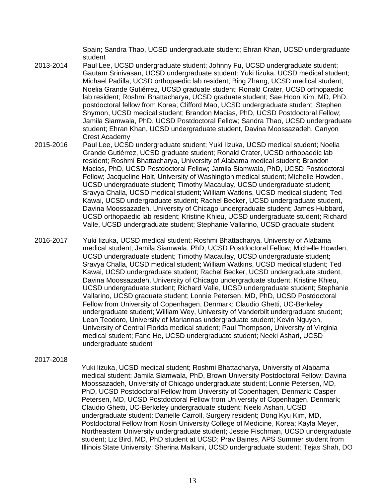Spain; Sandra Thao, UCSD undergraduate student; Ehran Khan, UCSD undergraduate student

- 2013-2014 Paul Lee, UCSD undergraduate student; Johnny Fu, UCSD undergraduate student; Gautam Srinivasan, UCSD undergraduate student: Yuki Iizuka, UCSD medical student; Michael Padilla, UCSD orthopaedic lab resident; Bing Zhang, UCSD medical student; Noelia Grande Gutiérrez, UCSD graduate student; Ronald Crater, UCSD orthopaedic lab resident; Roshmi Bhattacharya, UCSD graduate student; Sae Hoon Kim, MD, PhD, postdoctoral fellow from Korea; Clifford Mao, UCSD undergraduate student; Stephen Shymon, UCSD medical student; Brandon Macias, PhD, UCSD Postdoctoral Fellow; Jamila Siamwala, PhD, UCSD Postdoctoral Fellow; Sandra Thao, UCSD undergraduate student; Ehran Khan, UCSD undergraduate student, Davina Moossazadeh, Canyon Crest Academy
- 2015-2016 Paul Lee, UCSD undergraduate student; Yuki Iizuka, UCSD medical student; Noelia Grande Gutiérrez, UCSD graduate student; Ronald Crater, UCSD orthopaedic lab resident; Roshmi Bhattacharya, University of Alabama medical student; Brandon Macias, PhD, UCSD Postdoctoral Fellow; Jamila Siamwala, PhD, UCSD Postdoctoral Fellow; Jacqueline Holt, University of Washington medical student; Michelle Howden, UCSD undergraduate student; Timothy Macaulay, UCSD undergraduate student; Sravya Challa, UCSD medical student; William Watkins, UCSD medical student; Ted Kawai, UCSD undergraduate student; Rachel Becker, UCSD undergraduate student, Davina Moossazadeh, University of Chicago undergraduate student; James Hubbard, UCSD orthopaedic lab resident; Kristine Khieu, UCSD undergraduate student; Richard Valle, UCSD undergraduate student; Stephanie Vallarino, UCSD graduate student
- 2016-2017 Yuki Iizuka, UCSD medical student; Roshmi Bhattacharya, University of Alabama medical student; Jamila Siamwala, PhD, UCSD Postdoctoral Fellow; Michelle Howden, UCSD undergraduate student; Timothy Macaulay, UCSD undergraduate student; Sravya Challa, UCSD medical student; William Watkins, UCSD medical student; Ted Kawai, UCSD undergraduate student; Rachel Becker, UCSD undergraduate student, Davina Moossazadeh, University of Chicago undergraduate student; Kristine Khieu, UCSD undergraduate student; Richard Valle, UCSD undergraduate student; Stephanie Vallarino, UCSD graduate student; Lonnie Petersen, MD, PhD, UCSD Postdoctoral Fellow from University of Copenhagen, Denmark: Claudio Ghetti, UC-Berkeley undergraduate student; William Wey, University of Vanderbilt undergraduate student; Lean Teodoro, University of Mariannas undergraduate student; Kevin Nguyen, University of Central Florida medical student; Paul Thompson, University of Virginia medical student; Fane He, UCSD undergraduate student; Neeki Ashari, UCSD undergraduate student
- 2017-2018

Yuki Iizuka, UCSD medical student; Roshmi Bhattacharya, University of Alabama medical student; Jamila Siamwala, PhD, Brown University Postdoctoral Fellow; Davina Moossazadeh, University of Chicago undergraduate student; Lonnie Petersen, MD, PhD, UCSD Postdoctoral Fellow from University of Copenhagen, Denmark: Casper Petersen, MD, UCSD Postdoctoral Fellow from University of Copenhagen, Denmark; Claudio Ghetti, UC-Berkeley undergraduate student; Neeki Ashari, UCSD undergraduate student; Danielle Carroll, Surgery resident; Dong Kyu Kim, MD, Postdoctoral Fellow from Kosin University College of Medicine, Korea; Kayla Meyer, Northeastern University undergraduate student; Jessie Fischman, UCSD undergraduate student; Liz Bird, MD, PhD student at UCSD; Prav Baines, APS Summer student from Illinois State University; Sherina Malkani, UCSD undergraduate student; Tejas Shah, DO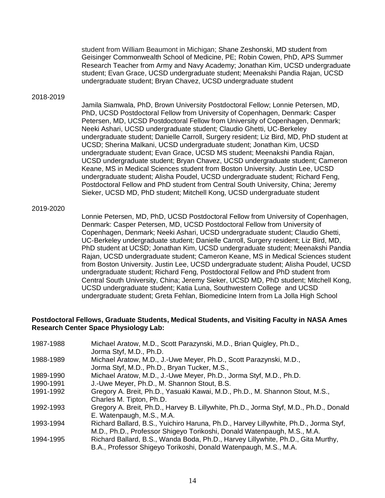student from William Beaumont in Michigan; Shane Zeshonski, MD student from Geisinger Commonwealth School of Medicine, PE; Robin Cowen, PhD, APS Summer Research Teacher from Army and Navy Academy; Jonathan Kim, UCSD undergraduate student; Evan Grace, UCSD undergraduate student; Meenakshi Pandia Rajan, UCSD undergraduate student; Bryan Chavez, UCSD undergraduate student

#### 2018-2019

Jamila Siamwala, PhD, Brown University Postdoctoral Fellow; Lonnie Petersen, MD, PhD, UCSD Postdoctoral Fellow from University of Copenhagen, Denmark: Casper Petersen, MD, UCSD Postdoctoral Fellow from University of Copenhagen, Denmark; Neeki Ashari, UCSD undergraduate student; Claudio Ghetti, UC-Berkeley undergraduate student; Danielle Carroll, Surgery resident; Liz Bird, MD, PhD student at UCSD; Sherina Malkani, UCSD undergraduate student; Jonathan Kim, UCSD undergraduate student; Evan Grace, UCSD MS student; Meenakshi Pandia Rajan, UCSD undergraduate student; Bryan Chavez, UCSD undergraduate student; Cameron Keane, MS in Medical Sciences student from Boston University. Justin Lee, UCSD undergraduate student; Alisha Poudel, UCSD undergraduate student; Richard Feng, Postdoctoral Fellow and PhD student from Central South University, China; Jeremy Sieker, UCSD MD, PhD student; Mitchell Kong, UCSD undergraduate student

#### 2019-2020

Lonnie Petersen, MD, PhD, UCSD Postdoctoral Fellow from University of Copenhagen, Denmark: Casper Petersen, MD, UCSD Postdoctoral Fellow from University of Copenhagen, Denmark; Neeki Ashari, UCSD undergraduate student; Claudio Ghetti, UC-Berkeley undergraduate student; Danielle Carroll, Surgery resident; Liz Bird, MD, PhD student at UCSD; Jonathan Kim, UCSD undergraduate student; Meenakshi Pandia Rajan, UCSD undergraduate student; Cameron Keane, MS in Medical Sciences student from Boston University. Justin Lee, UCSD undergraduate student; Alisha Poudel, UCSD undergraduate student; Richard Feng, Postdoctoral Fellow and PhD student from Central South University, China; Jeremy Sieker, UCSD MD, PhD student; Mitchell Kong, UCSD undergraduate student; Katia Luna, Southwestern College and UCSD undergraduate student; Greta Fehlan, Biomedicine Intern from La Jolla High School

#### **Postdoctoral Fellows, Graduate Students, Medical Students, and Visiting Faculty in NASA Ames Research Center Space Physiology Lab:**

| 1987-1988 | Michael Aratow, M.D., Scott Parazynski, M.D., Brian Quigley, Ph.D.,                   |
|-----------|---------------------------------------------------------------------------------------|
|           | Jorma Styf, M.D., Ph.D.                                                               |
| 1988-1989 | Michael Aratow, M.D., J.-Uwe Meyer, Ph.D., Scott Parazynski, M.D.,                    |
|           | Jorma Styf, M.D., Ph.D., Bryan Tucker, M.S.,                                          |
| 1989-1990 | Michael Aratow, M.D., J.-Uwe Meyer, Ph.D., Jorma Styf, M.D., Ph.D.                    |
| 1990-1991 | J.-Uwe Meyer, Ph.D., M. Shannon Stout, B.S.                                           |
| 1991-1992 | Gregory A. Breit, Ph.D., Yasuaki Kawai, M.D., Ph.D., M. Shannon Stout, M.S.,          |
|           | Charles M. Tipton, Ph.D.                                                              |
| 1992-1993 | Gregory A. Breit, Ph.D., Harvey B. Lillywhite, Ph.D., Jorma Styf, M.D., Ph.D., Donald |
|           | E. Watenpaugh, M.S., M.A.                                                             |
| 1993-1994 | Richard Ballard, B.S., Yuichiro Haruna, Ph.D., Harvey Lillywhite, Ph.D., Jorma Styf,  |
|           | M.D., Ph.D., Professor Shigeyo Torikoshi, Donald Watenpaugh, M.S., M.A.               |
| 1994-1995 | Richard Ballard, B.S., Wanda Boda, Ph.D., Harvey Lillywhite, Ph.D., Gita Murthy,      |
|           | B.A., Professor Shigeyo Torikoshi, Donald Watenpaugh, M.S., M.A.                      |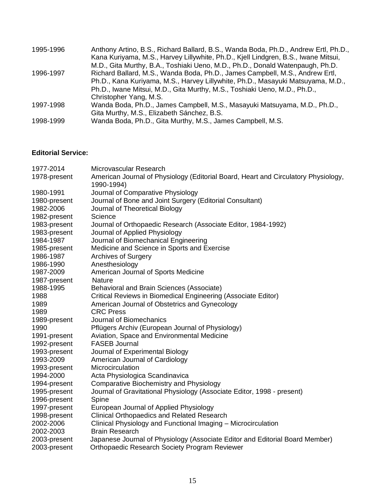| Anthony Artino, B.S., Richard Ballard, B.S., Wanda Boda, Ph.D., Andrew Ertl, Ph.D., |
|-------------------------------------------------------------------------------------|
| Kana Kuriyama, M.S., Harvey Lillywhite, Ph.D., Kjell Lindgren, B.S., Iwane Mitsui,  |
| M.D., Gita Murthy, B.A., Toshiaki Ueno, M.D., Ph.D., Donald Watenpaugh, Ph.D.       |
| Richard Ballard, M.S., Wanda Boda, Ph.D., James Campbell, M.S., Andrew Ertl,        |
| Ph.D., Kana Kuriyama, M.S., Harvey Lillywhite, Ph.D., Masayuki Matsuyama, M.D.,     |
|                                                                                     |
|                                                                                     |
| Wanda Boda, Ph.D., James Campbell, M.S., Masayuki Matsuyama, M.D., Ph.D.,           |
|                                                                                     |
|                                                                                     |
|                                                                                     |

### **Editorial Service:**

| 1977-2014    | Microvascular Research                                                                           |
|--------------|--------------------------------------------------------------------------------------------------|
| 1978-present | American Journal of Physiology (Editorial Board, Heart and Circulatory Physiology,<br>1990-1994) |
| 1980-1991    | Journal of Comparative Physiology                                                                |
| 1980-present | Journal of Bone and Joint Surgery (Editorial Consultant)                                         |
| 1982-2006    | Journal of Theoretical Biology                                                                   |
| 1982-present | Science                                                                                          |
| 1983-present | Journal of Orthopaedic Research (Associate Editor, 1984-1992)                                    |
| 1983-present | Journal of Applied Physiology                                                                    |
| 1984-1987    | Journal of Biomechanical Engineering                                                             |
| 1985-present | Medicine and Science in Sports and Exercise                                                      |
| 1986-1987    | <b>Archives of Surgery</b>                                                                       |
| 1986-1990    | Anesthesiology                                                                                   |
| 1987-2009    | American Journal of Sports Medicine                                                              |
| 1987-present | <b>Nature</b>                                                                                    |
| 1988-1995    | Behavioral and Brain Sciences (Associate)                                                        |
| 1988         | Critical Reviews in Biomedical Engineering (Associate Editor)                                    |
| 1989         | American Journal of Obstetrics and Gynecology                                                    |
| 1989         | <b>CRC</b> Press                                                                                 |
| 1989-present | Journal of Biomechanics                                                                          |
| 1990         | Pflügers Archiv (European Journal of Physiology)                                                 |
| 1991-present | Aviation, Space and Environmental Medicine                                                       |
| 1992-present | <b>FASEB Journal</b>                                                                             |
| 1993-present | Journal of Experimental Biology                                                                  |
| 1993-2009    | American Journal of Cardiology                                                                   |
| 1993-present | Microcirculation                                                                                 |
| 1994-2000    | Acta Physiologica Scandinavica                                                                   |
| 1994-present | <b>Comparative Biochemistry and Physiology</b>                                                   |
| 1995-present | Journal of Gravitational Physiology (Associate Editor, 1998 - present)                           |
| 1996-present | Spine                                                                                            |
| 1997-present | European Journal of Applied Physiology                                                           |
| 1998-present | <b>Clinical Orthopaedics and Related Research</b>                                                |
| 2002-2006    | Clinical Physiology and Functional Imaging - Microcirculation                                    |
| 2002-2003    | <b>Brain Research</b>                                                                            |
| 2003-present | Japanese Journal of Physiology (Associate Editor and Editorial Board Member)                     |
| 2003-present | <b>Orthopaedic Research Society Program Reviewer</b>                                             |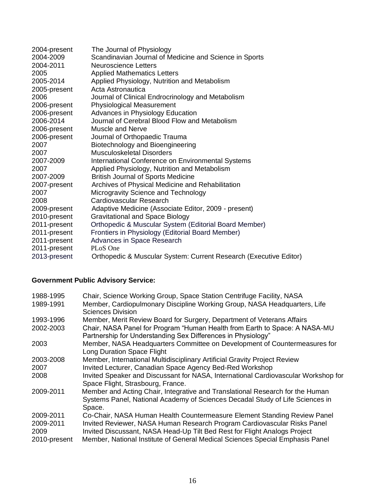| 2004-present | The Journal of Physiology                                         |
|--------------|-------------------------------------------------------------------|
| 2004-2009    | Scandinavian Journal of Medicine and Science in Sports            |
| 2004-2011    | <b>Neuroscience Letters</b>                                       |
| 2005         | <b>Applied Mathematics Letters</b>                                |
| 2005-2014    | Applied Physiology, Nutrition and Metabolism                      |
| 2005-present | Acta Astronautica                                                 |
| 2006         | Journal of Clinical Endrocrinology and Metabolism                 |
| 2006-present | <b>Physiological Measurement</b>                                  |
| 2006-present | <b>Advances in Physiology Education</b>                           |
| 2006-2014    | Journal of Cerebral Blood Flow and Metabolism                     |
| 2006-present | Muscle and Nerve                                                  |
| 2006-present | Journal of Orthopaedic Trauma                                     |
| 2007         | Biotechnology and Bioengineering                                  |
| 2007         | Musculoskeletal Disorders                                         |
| 2007-2009    | International Conference on Environmental Systems                 |
| 2007         | Applied Physiology, Nutrition and Metabolism                      |
| 2007-2009    | <b>British Journal of Sports Medicine</b>                         |
| 2007-present | Archives of Physical Medicine and Rehabilitation                  |
| 2007         | Microgravity Science and Technology                               |
| 2008         | Cardiovascular Research                                           |
| 2009-present | Adaptive Medicine (Associate Editor, 2009 - present)              |
| 2010-present | <b>Gravitational and Space Biology</b>                            |
| 2011-present | Orthopedic & Muscular System (Editorial Board Member)             |
| 2011-present | Frontiers in Physiology (Editorial Board Member)                  |
| 2011-present | Advances in Space Research                                        |
| 2011-present | PLoS One                                                          |
| 2013-present | Orthopedic & Muscular System: Current Research (Executive Editor) |

# **Government Public Advisory Service:**

| 1988-1995                                      | Chair, Science Working Group, Space Station Centrifuge Facility, NASA                                                                                                                                                                                                                                              |
|------------------------------------------------|--------------------------------------------------------------------------------------------------------------------------------------------------------------------------------------------------------------------------------------------------------------------------------------------------------------------|
| 1989-1991                                      | Member, Cardiopulmonary Discipline Working Group, NASA Headquarters, Life<br><b>Sciences Division</b>                                                                                                                                                                                                              |
| 1993-1996                                      | Member, Merit Review Board for Surgery, Department of Veterans Affairs                                                                                                                                                                                                                                             |
| 2002-2003                                      | Chair, NASA Panel for Program "Human Health from Earth to Space: A NASA-MU<br>Partnership for Understanding Sex Differences in Physiology"                                                                                                                                                                         |
| 2003                                           | Member, NASA Headquarters Committee on Development of Countermeasures for<br><b>Long Duration Space Flight</b>                                                                                                                                                                                                     |
| 2003-2008                                      | Member, International Multidisciplinary Artificial Gravity Project Review                                                                                                                                                                                                                                          |
| 2007                                           | Invited Lecturer, Canadian Space Agency Bed-Red Workshop                                                                                                                                                                                                                                                           |
| 2008                                           | Invited Speaker and Discussant for NASA, International Cardiovascular Workshop for<br>Space Flight, Strasbourg, France.                                                                                                                                                                                            |
| 2009-2011                                      | Member and Acting Chair, Integrative and Translational Research for the Human<br>Systems Panel, National Academy of Sciences Decadal Study of Life Sciences in<br>Space.                                                                                                                                           |
| 2009-2011<br>2009-2011<br>2009<br>2010-present | Co-Chair, NASA Human Health Countermeasure Element Standing Review Panel<br>Invited Reviewer, NASA Human Research Program Cardiovascular Risks Panel<br>Invited Discussant, NASA Head-Up Tilt Bed Rest for Flight Analogs Project<br>Member, National Institute of General Medical Sciences Special Emphasis Panel |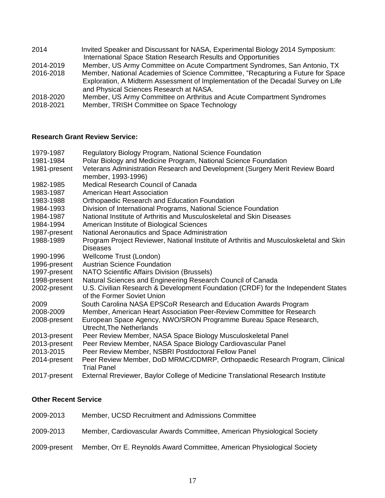| 2014      | Invited Speaker and Discussant for NASA, Experimental Biology 2014 Symposium:     |
|-----------|-----------------------------------------------------------------------------------|
|           | International Space Station Research Results and Opportunities                    |
| 2014-2019 | Member, US Army Committee on Acute Compartment Syndromes, San Antonio, TX         |
| 2016-2018 | Member, National Academies of Science Committee, "Recapturing a Future for Space  |
|           | Exploration, A Midterm Assessment of Implementation of the Decadal Survey on Life |
|           | and Physical Sciences Research at NASA.                                           |
| 2018-2020 | Member, US Army Committee on Arthritus and Acute Compartment Syndromes            |
| 2018-2021 | Member, TRISH Committee on Space Technology                                       |

## **Research Grant Review Service:**

| 1979-1987    | Regulatory Biology Program, National Science Foundation                                                         |
|--------------|-----------------------------------------------------------------------------------------------------------------|
| 1981-1984    | Polar Biology and Medicine Program, National Science Foundation                                                 |
| 1981-present | Veterans Administration Research and Development (Surgery Merit Review Board<br>member, 1993-1996)              |
| 1982-1985    | Medical Research Council of Canada                                                                              |
| 1983-1987    | <b>American Heart Association</b>                                                                               |
| 1983-1988    | <b>Orthopaedic Research and Education Foundation</b>                                                            |
| 1984-1993    | Division of International Programs, National Science Foundation                                                 |
| 1984-1987    | National Institute of Arthritis and Musculoskeletal and Skin Diseases                                           |
| 1984-1994    | American Institute of Biological Sciences                                                                       |
| 1987-present | National Aeronautics and Space Administration                                                                   |
| 1988-1989    | Program Project Reviewer, National Institute of Arthritis and Musculoskeletal and Skin<br>Diseases              |
| 1990-1996    | Wellcome Trust (London)                                                                                         |
| 1996-present | <b>Austrian Science Foundation</b>                                                                              |
| 1997-present | NATO Scientific Affairs Division (Brussels)                                                                     |
| 1998-present | Natural Sciences and Engineering Research Council of Canada                                                     |
| 2002-present | U.S. Civilian Research & Development Foundation (CRDF) for the Independent States<br>of the Former Soviet Union |
| 2009         | South Carolina NASA EPSCoR Research and Education Awards Program                                                |
| 2008-2009    | Member, American Heart Association Peer-Review Committee for Research                                           |
| 2008-present | European Space Agency, NWO/SRON Programme Bureau Space Research,<br>Utrecht, The Netherlands                    |
| 2013-present | Peer Review Member, NASA Space Biology Musculoskeletal Panel                                                    |
| 2013-present | Peer Review Member, NASA Space Biology Cardiovascular Panel                                                     |
| 2013-2015    | Peer Review Member, NSBRI Postdoctoral Fellow Panel                                                             |
| 2014-present | Peer Review Member, DoD MRMC/CDMRP, Orthopaedic Research Program, Clinical<br><b>Trial Panel</b>                |
| 2017-present | External Rreviewer, Baylor College of Medicine Translational Research Institute                                 |

# **Other Recent Service**

| 2009-2013    | Member, UCSD Recruitment and Admissions Committee                       |
|--------------|-------------------------------------------------------------------------|
| 2009-2013    | Member, Cardiovascular Awards Committee, American Physiological Society |
| 2009-present | Member, Orr E. Reynolds Award Committee, American Physiological Society |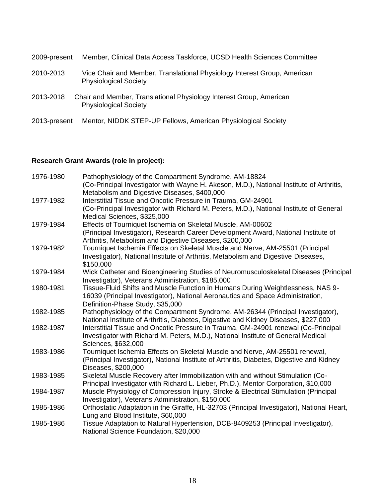| 2009-present | Member, Clinical Data Access Taskforce, UCSD Health Sciences Committee                                   |
|--------------|----------------------------------------------------------------------------------------------------------|
| 2010-2013    | Vice Chair and Member, Translational Physiology Interest Group, American<br><b>Physiological Society</b> |
| 2013-2018    | Chair and Member, Translational Physiology Interest Group, American<br><b>Physiological Society</b>      |
| 2013-present | Mentor, NIDDK STEP-UP Fellows, American Physiological Society                                            |

# **Research Grant Awards (role in project):**

| 1976-1980 | Pathophysiology of the Compartment Syndrome, AM-18824<br>(Co-Principal Investigator with Wayne H. Akeson, M.D.), National Institute of Arthritis,<br>Metabolism and Digestive Diseases, \$400,000            |
|-----------|--------------------------------------------------------------------------------------------------------------------------------------------------------------------------------------------------------------|
| 1977-1982 | Interstitial Tissue and Oncotic Pressure in Trauma, GM-24901<br>(Co-Principal Investigator with Richard M. Peters, M.D.), National Institute of General<br>Medical Sciences, \$325,000                       |
| 1979-1984 | Effects of Tourniquet Ischemia on Skeletal Muscle, AM-00602<br>(Principal Investigator), Research Career Development Award, National Institute of<br>Arthritis, Metabolism and Digestive Diseases, \$200,000 |
| 1979-1982 | Tourniquet Ischemia Effects on Skeletal Muscle and Nerve, AM-25501 (Principal<br>Investigator), National Institute of Arthritis, Metabolism and Digestive Diseases,<br>\$150,000                             |
| 1979-1984 | Wick Catheter and Bioengineering Studies of Neuromusculoskeletal Diseases (Principal<br>Investigator), Veterans Administration, \$185,000                                                                    |
| 1980-1981 | Tissue-Fluid Shifts and Muscle Function in Humans During Weightlessness, NAS 9-<br>16039 (Principal Investigator), National Aeronautics and Space Administration,<br>Definition-Phase Study, \$35,000        |
| 1982-1985 | Pathophysiology of the Compartment Syndrome, AM-26344 (Principal Investigator),<br>National Institute of Arthritis, Diabetes, Digestive and Kidney Diseases, \$227,000                                       |
| 1982-1987 | Interstitial Tissue and Oncotic Pressure in Trauma, GM-24901 renewal (Co-Principal<br>Investigator with Richard M. Peters, M.D.), National Institute of General Medical<br>Sciences, \$632,000               |
| 1983-1986 | Tourniquet Ischemia Effects on Skeletal Muscle and Nerve, AM-25501 renewal,<br>(Principal Investigator), National Institute of Arthritis, Diabetes, Digestive and Kidney<br>Diseases, \$200,000              |
| 1983-1985 | Skeletal Muscle Recovery after Immobilization with and without Stimulation (Co-<br>Principal Investigator with Richard L. Lieber, Ph.D.), Mentor Corporation, \$10,000                                       |
| 1984-1987 | Muscle Physiology of Compression Injury, Stroke & Electrical Stimulation (Principal<br>Investigator), Veterans Administration, \$150,000                                                                     |
| 1985-1986 | Orthostatic Adaptation in the Giraffe, HL-32703 (Principal Investigator), National Heart,<br>Lung and Blood Institute, \$60,000                                                                              |
| 1985-1986 | Tissue Adaptation to Natural Hypertension, DCB-8409253 (Principal Investigator),<br>National Science Foundation, \$20,000                                                                                    |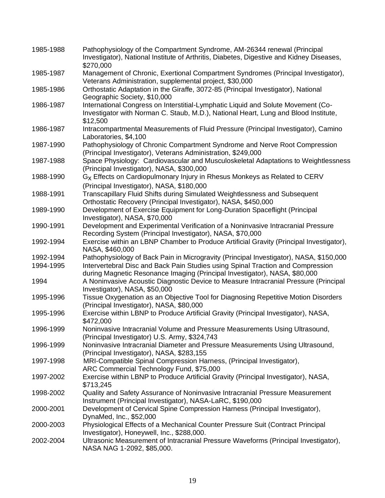| 1985-1988 | Pathophysiology of the Compartment Syndrome, AM-26344 renewal (Principal<br>Investigator), National Institute of Arthritis, Diabetes, Digestive and Kidney Diseases,<br>\$270,000   |
|-----------|-------------------------------------------------------------------------------------------------------------------------------------------------------------------------------------|
| 1985-1987 | Management of Chronic, Exertional Compartment Syndromes (Principal Investigator),<br>Veterans Administration, supplemental project, \$30,000                                        |
| 1985-1986 | Orthostatic Adaptation in the Giraffe, 3072-85 (Principal Investigator), National<br>Geographic Society, \$10,000                                                                   |
| 1986-1987 | International Congress on Interstitial-Lymphatic Liquid and Solute Movement (Co-<br>Investigator with Norman C. Staub, M.D.), National Heart, Lung and Blood Institute,<br>\$12,500 |
| 1986-1987 | Intracompartmental Measurements of Fluid Pressure (Principal Investigator), Camino<br>Laboratories, \$4,100                                                                         |
| 1987-1990 | Pathophysiology of Chronic Compartment Syndrome and Nerve Root Compression<br>(Principal Investigator), Veterans Administration, \$249,000                                          |
| 1987-1988 | Space Physiology: Cardiovascular and Musculoskeletal Adaptations to Weightlessness<br>(Principal Investigator), NASA, \$300,000                                                     |
| 1988-1990 | G <sub>x</sub> Effects on Cardiopulmonary Injury in Rhesus Monkeys as Related to CERV<br>(Principal Investigator), NASA, \$180,000                                                  |
| 1988-1991 | Transcapillary Fluid Shifts during Simulated Weightlessness and Subsequent<br>Orthostatic Recovery (Principal Investigator), NASA, \$450,000                                        |
| 1989-1990 | Development of Exercise Equipment for Long-Duration Spaceflight (Principal<br>Investigator), NASA, \$70,000                                                                         |
| 1990-1991 | Development and Experimental Verification of a Noninvasive Intracranial Pressure<br>Recording System (Principal Investigator), NASA, \$70,000                                       |
| 1992-1994 | Exercise within an LBNP Chamber to Produce Artificial Gravity (Principal Investigator),<br>NASA, \$460,000                                                                          |
| 1992-1994 | Pathophysiology of Back Pain in Microgravity (Principal Investigator), NASA, \$150,000                                                                                              |
| 1994-1995 | Intervertebral Disc and Back Pain Studies using Spinal Traction and Compression<br>during Magnetic Resonance Imaging (Principal Investigator), NASA, \$80,000                       |
| 1994      | A Noninvasive Acoustic Diagnostic Device to Measure Intracranial Pressure (Principal<br>Investigator), NASA, \$50,000                                                               |
| 1995-1996 | Tissue Oxygenation as an Objective Tool for Diagnosing Repetitive Motion Disorders<br>(Principal Investigator), NASA, \$80,000                                                      |
| 1995-1996 | Exercise within LBNP to Produce Artificial Gravity (Principal Investigator), NASA,<br>\$472,000                                                                                     |
| 1996-1999 | Noninvasive Intracranial Volume and Pressure Measurements Using Ultrasound,<br>(Principal Investigator) U.S. Army, \$324,743                                                        |
| 1996-1999 | Noninvasive Intracranial Diameter and Pressure Measurements Using Ultrasound,<br>(Principal Investigator), NASA, \$283,155                                                          |
| 1997-1998 | MRI-Compatible Spinal Compression Harness, (Principal Investigator),<br>ARC Commercial Technology Fund, \$75,000                                                                    |
| 1997-2002 | Exercise within LBNP to Produce Artificial Gravity (Principal Investigator), NASA,<br>\$713,245                                                                                     |
| 1998-2002 | Quality and Safety Assurance of Noninvasive Intracranial Pressure Measurement<br>Instrument (Principal Investigator), NASA-LaRC, \$190,000                                          |
| 2000-2001 | Development of Cervical Spine Compression Harness (Principal Investigator),<br>DynaMed, Inc., \$52,000                                                                              |
| 2000-2003 | Physiological Effects of a Mechanical Counter Pressure Suit (Contract Principal<br>Investigator), Honeywell, Inc., \$288,000.                                                       |
| 2002-2004 | Ultrasonic Measurement of Intracranial Pressure Waveforms (Principal Investigator),<br>NASA NAG 1-2092, \$85,000.                                                                   |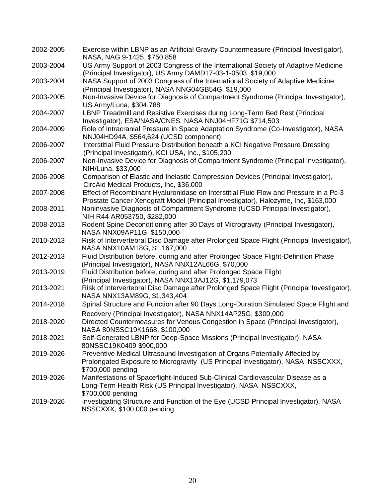| 2002-2005 | Exercise within LBNP as an Artificial Gravity Countermeasure (Principal Investigator),<br>NASA, NAG 9-1425, \$750,858                                                                 |
|-----------|---------------------------------------------------------------------------------------------------------------------------------------------------------------------------------------|
| 2003-2004 | US Army Support of 2003 Congress of the International Society of Adaptive Medicine<br>(Principal Investigator), US Army DAMD17-03-1-0503, \$19,000                                    |
| 2003-2004 | NASA Support of 2003 Congress of the International Society of Adaptive Medicine                                                                                                       |
| 2003-2005 | (Principal Investigator), NASA NNG04GB54G, \$19,000<br>Non-Invasive Device for Diagnosis of Compartment Syndrome (Principal Investigator),                                            |
| 2004-2007 | US Army/Luna, \$304,788<br>LBNP Treadmill and Resistive Exercises during Long-Term Bed Rest (Principal                                                                                |
| 2004-2009 | Investigator), ESA/NASA/CNES, NASA NNJ04HF71G \$714,503<br>Role of Intracranial Pressure in Space Adaptation Syndrome (Co-Investigator), NASA                                         |
| 2006-2007 | NNJ04HD94A, \$564,624 (UCSD component)<br>Interstitial Fluid Pressure Distribution beneath a KCI Negative Pressure Dressing<br>(Principal Investigator), KCI USA, Inc., \$105,200     |
| 2006-2007 | Non-Invasive Device for Diagnosis of Compartment Syndrome (Principal Investigator),<br>NIH/Luna, \$33,000                                                                             |
| 2006-2008 | Comparison of Elastic and Inelastic Compression Devices (Principal Investigator),<br>CircAid Medical Products, Inc, \$36,000                                                          |
| 2007-2008 | Effect of Recombinant Hyaluronidase on Interstitial Fluid Flow and Pressure in a Pc-3<br>Prostate Cancer Xenograft Model (Principal Investigator), Halozyme, Inc, \$163,000           |
| 2008-2011 | Noninvasive Diagnosis of Compartment Syndrome (UCSD Principal Investigator),<br>NIH R44 AR053750, \$282,000                                                                           |
| 2008-2013 | Rodent Spine Deconditioning after 30 Days of Microgravity (Principal Investigator),<br>NASA NNX09AP11G, \$150,000                                                                     |
| 2010-2013 | Risk of Intervertebral Disc Damage after Prolonged Space Flight (Principal Investigator),<br>NASA NNX10AM18G, \$1,167,000                                                             |
| 2012-2013 | Fluid Distribution before, during and after Prolonged Space Flight-Definition Phase<br>(Principal Investigator), NASA NNX12AL66G, \$70,000                                            |
| 2013-2019 | Fluid Distribution before, during and after Prolonged Space Flight<br>(Principal Investigator), NASA NNX13AJ12G, \$1,179,073                                                          |
| 2013-2021 | Risk of Intervertebral Disc Damage after Prolonged Space Flight (Principal Investigator),<br>NASA NNX13AM89G, \$1,343,404                                                             |
| 2014-2018 | Spinal Structure and Function after 90 Days Long-Duration Simulated Space Flight and                                                                                                  |
| 2018-2020 | Recovery (Principal Investigator), NASA NNX14AP25G, \$300,000<br>Directed Countermeasures for Venous Congestion in Space (Principal Investigator),<br>NASA 80NSSC19K1668, \$100,000   |
| 2018-2021 | Self-Generated LBNP for Deep-Space Missions (Principal Investigator), NASA<br>80NSSC19K0409 \$900,000                                                                                 |
| 2019-2026 | Preventive Medical Ultrasound Investigation of Organs Potentially Affected by<br>Prolongated Exposure to Microgravity (US Principal Investigator), NASA NSSCXXX,<br>\$700,000 pending |
| 2019-2026 | Manifestations of Spaceflight-Induced Sub-Clinical Cardiovascular Disease as a<br>Long-Term Health Risk (US Principal Investigator), NASA NSSCXXX,<br>\$700,000 pending               |
| 2019-2026 | Investigating Structure and Function of the Eye (UCSD Principal Investigator), NASA<br>NSSCXXX, \$100,000 pending                                                                     |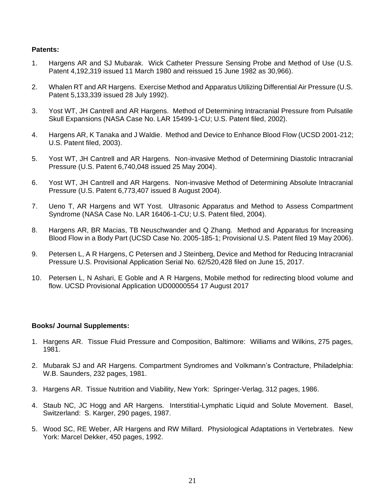#### **Patents:**

- 1. Hargens AR and SJ Mubarak. Wick Catheter Pressure Sensing Probe and Method of Use (U.S. Patent 4,192,319 issued 11 March 1980 and reissued 15 June 1982 as 30,966).
- 2. Whalen RT and AR Hargens. Exercise Method and Apparatus Utilizing Differential Air Pressure (U.S. Patent 5,133,339 issued 28 July 1992).
- 3. Yost WT, JH Cantrell and AR Hargens. Method of Determining Intracranial Pressure from Pulsatile Skull Expansions (NASA Case No. LAR 15499-1-CU; U.S. Patent filed, 2002).
- 4. Hargens AR, K Tanaka and J Waldie. Method and Device to Enhance Blood Flow (UCSD 2001-212; U.S. Patent filed, 2003).
- 5. Yost WT, JH Cantrell and AR Hargens. Non-invasive Method of Determining Diastolic Intracranial Pressure (U.S. Patent 6,740,048 issued 25 May 2004).
- 6. Yost WT, JH Cantrell and AR Hargens. Non-invasive Method of Determining Absolute Intracranial Pressure (U.S. Patent 6,773,407 issued 8 August 2004).
- 7. Ueno T, AR Hargens and WT Yost. Ultrasonic Apparatus and Method to Assess Compartment Syndrome (NASA Case No. LAR 16406-1-CU; U.S. Patent filed, 2004).
- 8. Hargens AR, BR Macias, TB Neuschwander and Q Zhang. Method and Apparatus for Increasing Blood Flow in a Body Part (UCSD Case No. 2005-185-1; Provisional U.S. Patent filed 19 May 2006).
- 9. Petersen L, A R Hargens, C Petersen and J Steinberg, Device and Method for Reducing Intracranial Pressure U.S. Provisional Application Serial No. 62/520,428 filed on June 15, 2017.
- 10. Petersen L, N Ashari, E Goble and A R Hargens, Mobile method for redirecting blood volume and flow. UCSD Provisional Application UD00000554 17 August 2017

#### **Books/ Journal Supplements:**

- 1. Hargens AR. Tissue Fluid Pressure and Composition, Baltimore: Williams and Wilkins, 275 pages, 1981.
- 2. Mubarak SJ and AR Hargens. Compartment Syndromes and Volkmann's Contracture, Philadelphia: W.B. Saunders, 232 pages, 1981.
- 3. Hargens AR. Tissue Nutrition and Viability, New York: Springer-Verlag, 312 pages, 1986.
- 4. Staub NC, JC Hogg and AR Hargens. Interstitial-Lymphatic Liquid and Solute Movement. Basel, Switzerland: S. Karger, 290 pages, 1987.
- 5. Wood SC, RE Weber, AR Hargens and RW Millard. Physiological Adaptations in Vertebrates. New York: Marcel Dekker, 450 pages, 1992.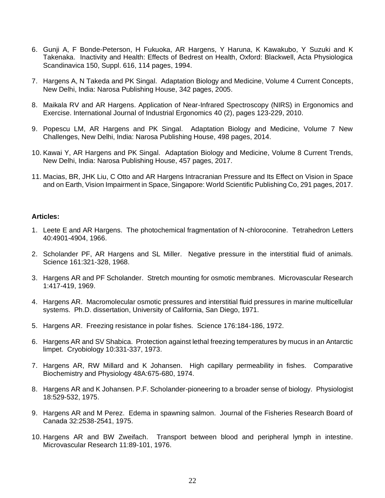- 6. Gunji A, F Bonde-Peterson, H Fukuoka, AR Hargens, Y Haruna, K Kawakubo, Y Suzuki and K Takenaka. Inactivity and Health: Effects of Bedrest on Health, Oxford: Blackwell, Acta Physiologica Scandinavica 150, Suppl. 616, 114 pages, 1994.
- 7. Hargens A, N Takeda and PK Singal. Adaptation Biology and Medicine, Volume 4 Current Concepts, New Delhi, India: Narosa Publishing House, 342 pages, 2005.
- 8. Maikala RV and AR Hargens. Application of Near-Infrared Spectroscopy (NIRS) in Ergonomics and Exercise. International Journal of Industrial Ergonomics 40 (2), pages 123-229, 2010.
- 9. Popescu LM, AR Hargens and PK Singal. Adaptation Biology and Medicine, Volume 7 New Challenges, New Delhi, India: Narosa Publishing House, 498 pages, 2014.
- 10. Kawai Y, AR Hargens and PK Singal. Adaptation Biology and Medicine, Volume 8 Current Trends, New Delhi, India: Narosa Publishing House, 457 pages, 2017.
- 11. Macias, BR, JHK Liu, C Otto and AR Hargens Intracranian Pressure and Its Effect on Vision in Space and on Earth, Vision Impairment in Space, Singapore: World Scientific Publishing Co, 291 pages, 2017.

#### **Articles:**

- 1. Leete E and AR Hargens. The photochemical fragmentation of N-chloroconine. Tetrahedron Letters 40:4901-4904, 1966.
- 2. Scholander PF, AR Hargens and SL Miller. Negative pressure in the interstitial fluid of animals. Science 161:321-328, 1968.
- 3. Hargens AR and PF Scholander. Stretch mounting for osmotic membranes. Microvascular Research 1:417-419, 1969.
- 4. Hargens AR. Macromolecular osmotic pressures and interstitial fluid pressures in marine multicellular systems. Ph.D. dissertation, University of California, San Diego, 1971.
- 5. Hargens AR. Freezing resistance in polar fishes. Science 176:184-186, 1972.
- 6. Hargens AR and SV Shabica. Protection against lethal freezing temperatures by mucus in an Antarctic limpet. Cryobiology 10:331-337, 1973.
- 7. Hargens AR, RW Millard and K Johansen. High capillary permeability in fishes. Comparative Biochemistry and Physiology 48A:675-680, 1974.
- 8. Hargens AR and K Johansen. P.F. Scholander-pioneering to a broader sense of biology. Physiologist 18:529-532, 1975.
- 9. Hargens AR and M Perez. Edema in spawning salmon. Journal of the Fisheries Research Board of Canada 32:2538-2541, 1975.
- 10. Hargens AR and BW Zweifach. Transport between blood and peripheral lymph in intestine. Microvascular Research 11:89-101, 1976.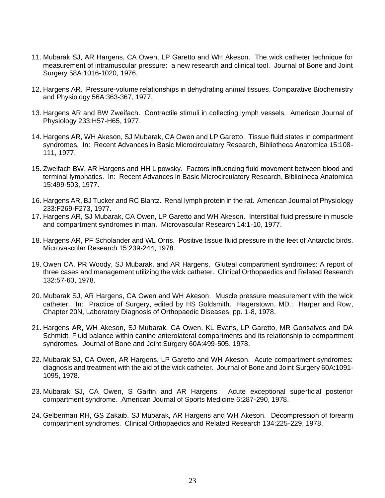- 11. Mubarak SJ, AR Hargens, CA Owen, LP Garetto and WH Akeson. The wick catheter technique for measurement of intramuscular pressure: a new research and clinical tool. Journal of Bone and Joint Surgery 58A:1016-1020, 1976.
- 12. Hargens AR. Pressure-volume relationships in dehydrating animal tissues. Comparative Biochemistry and Physiology 56A:363-367, 1977.
- 13. Hargens AR and BW Zweifach. Contractile stimuli in collecting lymph vessels. American Journal of Physiology 233:H57-H65, 1977.
- 14. Hargens AR, WH Akeson, SJ Mubarak, CA Owen and LP Garetto. Tissue fluid states in compartment syndromes. In: Recent Advances in Basic Microcirculatory Research, Bibliotheca Anatomica 15:108- 111, 1977.
- 15. Zweifach BW, AR Hargens and HH Lipowsky. Factors influencing fluid movement between blood and terminal lymphatics. In: Recent Advances in Basic Microcirculatory Research, Bibliotheca Anatomica 15:499-503, 1977.
- 16. Hargens AR, BJ Tucker and RC Blantz. Renal lymph protein in the rat. American Journal of Physiology 233:F269-F273, 1977.
- 17. Hargens AR, SJ Mubarak, CA Owen, LP Garetto and WH Akeson. Interstitial fluid pressure in muscle and compartment syndromes in man. Microvascular Research 14:1-10, 1977.
- 18. Hargens AR, PF Scholander and WL Orris. Positive tissue fluid pressure in the feet of Antarctic birds. Microvascular Research 15:239-244, 1978.
- 19. Owen CA, PR Woody, SJ Mubarak, and AR Hargens. Gluteal compartment syndromes: A report of three cases and management utilizing the wick catheter. Clinical Orthopaedics and Related Research 132:57-60, 1978.
- 20. Mubarak SJ, AR Hargens, CA Owen and WH Akeson. Muscle pressure measurement with the wick catheter. In: Practice of Surgery, edited by HS Goldsmith. Hagerstown, MD.: Harper and Row, Chapter 20N, Laboratory Diagnosis of Orthopaedic Diseases, pp. 1-8, 1978.
- 21. Hargens AR, WH Akeson, SJ Mubarak, CA Owen, KL Evans, LP Garetto, MR Gonsalves and DA Schmidt. Fluid balance within canine anterolateral compartments and its relationship to compartment syndromes. Journal of Bone and Joint Surgery 60A:499-505, 1978.
- 22. Mubarak SJ, CA Owen, AR Hargens, LP Garetto and WH Akeson. Acute compartment syndromes: diagnosis and treatment with the aid of the wick catheter. Journal of Bone and Joint Surgery 60A:1091- 1095, 1978.
- 23. Mubarak SJ, CA Owen, S Garfin and AR Hargens. Acute exceptional superficial posterior compartment syndrome. American Journal of Sports Medicine 6:287-290, 1978.
- 24. Gelberman RH, GS Zakaib, SJ Mubarak, AR Hargens and WH Akeson. Decompression of forearm compartment syndromes. Clinical Orthopaedics and Related Research 134:225-229, 1978.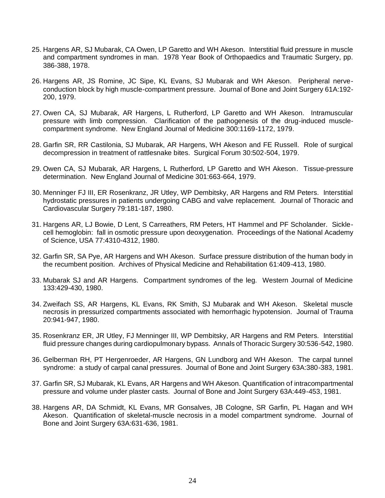- 25. Hargens AR, SJ Mubarak, CA Owen, LP Garetto and WH Akeson. Interstitial fluid pressure in muscle and compartment syndromes in man. 1978 Year Book of Orthopaedics and Traumatic Surgery, pp. 386-388, 1978.
- 26. Hargens AR, JS Romine, JC Sipe, KL Evans, SJ Mubarak and WH Akeson. Peripheral nerveconduction block by high muscle-compartment pressure. Journal of Bone and Joint Surgery 61A:192- 200, 1979.
- 27. Owen CA, SJ Mubarak, AR Hargens, L Rutherford, LP Garetto and WH Akeson. Intramuscular pressure with limb compression. Clarification of the pathogenesis of the drug-induced musclecompartment syndrome. New England Journal of Medicine 300:1169-1172, 1979.
- 28. Garfin SR, RR Castilonia, SJ Mubarak, AR Hargens, WH Akeson and FE Russell. Role of surgical decompression in treatment of rattlesnake bites. Surgical Forum 30:502-504, 1979.
- 29. Owen CA, SJ Mubarak, AR Hargens, L Rutherford, LP Garetto and WH Akeson. Tissue-pressure determination. New England Journal of Medicine 301:663-664, 1979.
- 30. Menninger FJ III, ER Rosenkranz, JR Utley, WP Dembitsky, AR Hargens and RM Peters. Interstitial hydrostatic pressures in patients undergoing CABG and valve replacement. Journal of Thoracic and Cardiovascular Surgery 79:181-187, 1980.
- 31. Hargens AR, LJ Bowie, D Lent, S Carreathers, RM Peters, HT Hammel and PF Scholander. Sicklecell hemoglobin: fall in osmotic pressure upon deoxygenation. Proceedings of the National Academy of Science, USA 77:4310-4312, 1980.
- 32. Garfin SR, SA Pye, AR Hargens and WH Akeson. Surface pressure distribution of the human body in the recumbent position. Archives of Physical Medicine and Rehabilitation 61:409-413, 1980.
- 33. Mubarak SJ and AR Hargens. Compartment syndromes of the leg. Western Journal of Medicine 133:429-430, 1980.
- 34. Zweifach SS, AR Hargens, KL Evans, RK Smith, SJ Mubarak and WH Akeson. Skeletal muscle necrosis in pressurized compartments associated with hemorrhagic hypotension. Journal of Trauma 20:941-947, 1980.
- 35. Rosenkranz ER, JR Utley, FJ Menninger III, WP Dembitsky, AR Hargens and RM Peters. Interstitial fluid pressure changes during cardiopulmonary bypass. Annals of Thoracic Surgery 30:536-542, 1980.
- 36. Gelberman RH, PT Hergenroeder, AR Hargens, GN Lundborg and WH Akeson. The carpal tunnel syndrome: a study of carpal canal pressures. Journal of Bone and Joint Surgery 63A:380-383, 1981.
- 37. Garfin SR, SJ Mubarak, KL Evans, AR Hargens and WH Akeson. Quantification of intracompartmental pressure and volume under plaster casts. Journal of Bone and Joint Surgery 63A:449-453, 1981.
- 38. Hargens AR, DA Schmidt, KL Evans, MR Gonsalves, JB Cologne, SR Garfin, PL Hagan and WH Akeson. Quantification of skeletal-muscle necrosis in a model compartment syndrome. Journal of Bone and Joint Surgery 63A:631-636, 1981.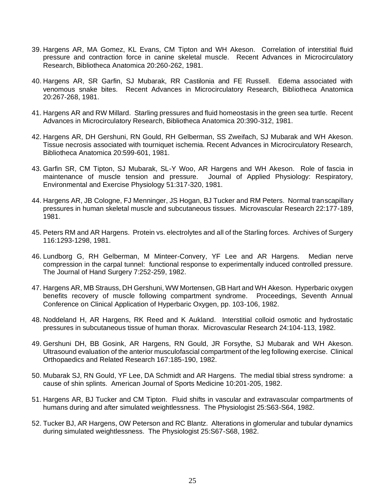- 39. Hargens AR, MA Gomez, KL Evans, CM Tipton and WH Akeson. Correlation of interstitial fluid pressure and contraction force in canine skeletal muscle. Recent Advances in Microcirculatory Research, Bibliotheca Anatomica 20:260-262, 1981.
- 40. Hargens AR, SR Garfin, SJ Mubarak, RR Castilonia and FE Russell. Edema associated with venomous snake bites. Recent Advances in Microcirculatory Research, Bibliotheca Anatomica 20:267-268, 1981.
- 41. Hargens AR and RW Millard. Starling pressures and fluid homeostasis in the green sea turtle. Recent Advances in Microcirculatory Research, Bibliotheca Anatomica 20:390-312, 1981.
- 42. Hargens AR, DH Gershuni, RN Gould, RH Gelberman, SS Zweifach, SJ Mubarak and WH Akeson. Tissue necrosis associated with tourniquet ischemia. Recent Advances in Microcirculatory Research, Bibliotheca Anatomica 20:599-601, 1981.
- 43. Garfin SR, CM Tipton, SJ Mubarak, SL-Y Woo, AR Hargens and WH Akeson. Role of fascia in maintenance of muscle tension and pressure. Journal of Applied Physiology: Respiratory, Environmental and Exercise Physiology 51:317-320, 1981.
- 44. Hargens AR, JB Cologne, FJ Menninger, JS Hogan, BJ Tucker and RM Peters. Normal transcapillary pressures in human skeletal muscle and subcutaneous tissues. Microvascular Research 22:177-189, 1981.
- 45. Peters RM and AR Hargens. Protein vs. electrolytes and all of the Starling forces. Archives of Surgery 116:1293-1298, 1981.
- 46. Lundborg G, RH Gelberman, M Minteer-Convery, YF Lee and AR Hargens. Median nerve compression in the carpal tunnel: functional response to experimentally induced controlled pressure. The Journal of Hand Surgery 7:252-259, 1982.
- 47. Hargens AR, MB Strauss, DH Gershuni, WW Mortensen, GB Hart and WH Akeson. Hyperbaric oxygen benefits recovery of muscle following compartment syndrome. Proceedings, Seventh Annual Conference on Clinical Application of Hyperbaric Oxygen, pp. 103-106, 1982.
- 48. Noddeland H, AR Hargens, RK Reed and K Aukland. Interstitial colloid osmotic and hydrostatic pressures in subcutaneous tissue of human thorax. Microvascular Research 24:104-113, 1982.
- 49. Gershuni DH, BB Gosink, AR Hargens, RN Gould, JR Forsythe, SJ Mubarak and WH Akeson. Ultrasound evaluation of the anterior musculofascial compartment of the leg following exercise. Clinical Orthopaedics and Related Research 167:185-190, 1982.
- 50. Mubarak SJ, RN Gould, YF Lee, DA Schmidt and AR Hargens. The medial tibial stress syndrome: a cause of shin splints. American Journal of Sports Medicine 10:201-205, 1982.
- 51. Hargens AR, BJ Tucker and CM Tipton. Fluid shifts in vascular and extravascular compartments of humans during and after simulated weightlessness. The Physiologist 25:S63-S64, 1982.
- 52. Tucker BJ, AR Hargens, OW Peterson and RC Blantz. Alterations in glomerular and tubular dynamics during simulated weightlessness. The Physiologist 25:S67-S68, 1982.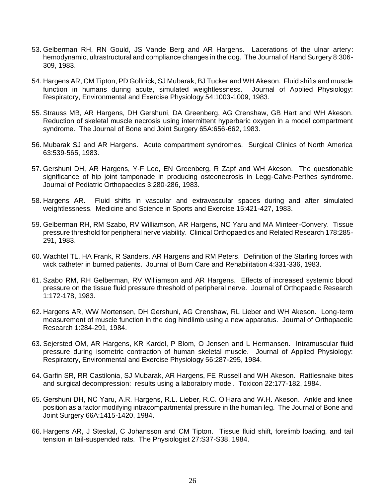- 53. Gelberman RH, RN Gould, JS Vande Berg and AR Hargens. Lacerations of the ulnar artery: hemodynamic, ultrastructural and compliance changes in the dog. The Journal of Hand Surgery 8:306- 309, 1983.
- 54. Hargens AR, CM Tipton, PD Gollnick, SJ Mubarak, BJ Tucker and WH Akeson. Fluid shifts and muscle function in humans during acute, simulated weightlessness. Journal of Applied Physiology: Respiratory, Environmental and Exercise Physiology 54:1003-1009, 1983.
- 55. Strauss MB, AR Hargens, DH Gershuni, DA Greenberg, AG Crenshaw, GB Hart and WH Akeson. Reduction of skeletal muscle necrosis using intermittent hyperbaric oxygen in a model compartment syndrome. The Journal of Bone and Joint Surgery 65A:656-662, 1983.
- 56. Mubarak SJ and AR Hargens. Acute compartment syndromes. Surgical Clinics of North America 63:539-565, 1983.
- 57. Gershuni DH, AR Hargens, Y-F Lee, EN Greenberg, R Zapf and WH Akeson. The questionable significance of hip joint tamponade in producing osteonecrosis in Legg-Calve-Perthes syndrome. Journal of Pediatric Orthopaedics 3:280-286, 1983.
- 58. Hargens AR. Fluid shifts in vascular and extravascular spaces during and after simulated weightlessness. Medicine and Science in Sports and Exercise 15:421-427, 1983.
- 59. Gelberman RH, RM Szabo, RV Williamson, AR Hargens, NC Yaru and MA Minteer-Convery. Tissue pressure threshold for peripheral nerve viability. Clinical Orthopaedics and Related Research 178:285- 291, 1983.
- 60. Wachtel TL, HA Frank, R Sanders, AR Hargens and RM Peters. Definition of the Starling forces with wick catheter in burned patients. Journal of Burn Care and Rehabilitation 4:331-336, 1983.
- 61. Szabo RM, RH Gelberman, RV Williamson and AR Hargens. Effects of increased systemic blood pressure on the tissue fluid pressure threshold of peripheral nerve. Journal of Orthopaedic Research 1:172-178, 1983.
- 62. Hargens AR, WW Mortensen, DH Gershuni, AG Crenshaw, RL Lieber and WH Akeson. Long-term measurement of muscle function in the dog hindlimb using a new apparatus. Journal of Orthopaedic Research 1:284-291, 1984.
- 63. Sejersted OM, AR Hargens, KR Kardel, P Blom, O Jensen and L Hermansen. Intramuscular fluid pressure during isometric contraction of human skeletal muscle. Journal of Applied Physiology: Respiratory, Environmental and Exercise Physiology 56:287-295, 1984.
- 64. Garfin SR, RR Castilonia, SJ Mubarak, AR Hargens, FE Russell and WH Akeson. Rattlesnake bites and surgical decompression: results using a laboratory model. Toxicon 22:177-182, 1984.
- 65. Gershuni DH, NC Yaru, A.R. Hargens, R.L. Lieber, R.C. O'Hara and W.H. Akeson. Ankle and knee position as a factor modifying intracompartmental pressure in the human leg. The Journal of Bone and Joint Surgery 66A:1415-1420, 1984.
- 66. Hargens AR, J Steskal, C Johansson and CM Tipton. Tissue fluid shift, forelimb loading, and tail tension in tail-suspended rats. The Physiologist 27:S37-S38, 1984.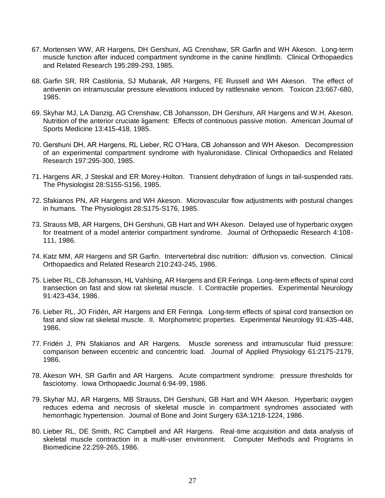- 67. Mortensen WW, AR Hargens, DH Gershuni, AG Crenshaw, SR Garfin and WH Akeson. Long-term muscle function after induced compartment syndrome in the canine hindlimb. Clinical Orthopaedics and Related Research 195:289-293, 1985.
- 68. Garfin SR, RR Castilonia, SJ Mubarak, AR Hargens, FE Russell and WH Akeson. The effect of antivenin on intramuscular pressure elevations induced by rattlesnake venom. Toxicon 23:667-680, 1985.
- 69. Skyhar MJ, LA Danzig, AG Crenshaw, CB Johansson, DH Gershuni, AR Hargens and W.H. Akeson. Nutrition of the anterior cruciate ligament: Effects of continuous passive motion. American Journal of Sports Medicine 13:415-418, 1985.
- 70. Gershuni DH, AR Hargens, RL Lieber, RC O'Hara, CB Johansson and WH Akeson. Decompression of an experimental compartment syndrome with hyaluronidase. Clinical Orthopaedics and Related Research 197:295-300, 1985.
- 71. Hargens AR, J Steskal and ER Morey-Holton. Transient dehydration of lungs in tail-suspended rats. The Physiologist 28:S155-S156, 1985.
- 72. Sfakianos PN, AR Hargens and WH Akeson. Microvascular flow adjustments with postural changes in humans. The Physiologist 28:S175-S176, 1985.
- 73. Strauss MB, AR Hargens, DH Gershuni, GB Hart and WH Akeson. Delayed use of hyperbaric oxygen for treatment of a model anterior compartment syndrome. Journal of Orthopaedic Research 4:108- 111, 1986.
- 74. Katz MM, AR Hargens and SR Garfin. Intervertebral disc nutrition: diffusion vs. convection. Clinical Orthopaedics and Related Research 210:243-245, 1986.
- 75. Lieber RL, CB Johansson, HL Vahlsing, AR Hargens and ER Feringa. Long-term effects of spinal cord transection on fast and slow rat skeletal muscle. I. Contractile properties. Experimental Neurology 91:423-434, 1986.
- 76. Lieber RL, JO Fridén, AR Hargens and ER Feringa. Long-term effects of spinal cord transection on fast and slow rat skeletal muscle. II. Morphometric properties. Experimental Neurology 91:435-448, 1986.
- 77. Fridén J, PN Sfakianos and AR Hargens. Muscle soreness and intramuscular fluid pressure: comparison between eccentric and concentric load. Journal of Applied Physiology 61:2175-2179, 1986.
- 78. Akeson WH, SR Garfin and AR Hargens. Acute compartment syndrome: pressure thresholds for fasciotomy. Iowa Orthopaedic Journal 6:94-99, 1986.
- 79. Skyhar MJ, AR Hargens, MB Strauss, DH Gershuni, GB Hart and WH Akeson. Hyperbaric oxygen reduces edema and necrosis of skeletal muscle in compartment syndromes associated with hemorrhagic hypertension. Journal of Bone and Joint Surgery 63A:1218-1224, 1986.
- 80. Lieber RL, DE Smith, RC Campbell and AR Hargens. Real-time acquisition and data analysis of skeletal muscle contraction in a multi-user environment. Computer Methods and Programs in Biomedicine 22:259-265, 1986.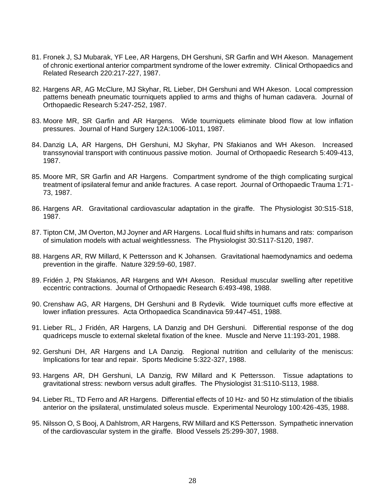- 81. Fronek J, SJ Mubarak, YF Lee, AR Hargens, DH Gershuni, SR Garfin and WH Akeson. Management of chronic exertional anterior compartment syndrome of the lower extremity. Clinical Orthopaedics and Related Research 220:217-227, 1987.
- 82. Hargens AR, AG McClure, MJ Skyhar, RL Lieber, DH Gershuni and WH Akeson. Local compression patterns beneath pneumatic tourniquets applied to arms and thighs of human cadavera. Journal of Orthopaedic Research 5:247-252, 1987.
- 83. Moore MR, SR Garfin and AR Hargens. Wide tourniquets eliminate blood flow at low inflation pressures. Journal of Hand Surgery 12A:1006-1011, 1987.
- 84. Danzig LA, AR Hargens, DH Gershuni, MJ Skyhar, PN Sfakianos and WH Akeson. Increased transsynovial transport with continuous passive motion. Journal of Orthopaedic Research 5:409-413, 1987.
- 85. Moore MR, SR Garfin and AR Hargens. Compartment syndrome of the thigh complicating surgical treatment of ipsilateral femur and ankle fractures. A case report. Journal of Orthopaedic Trauma 1:71- 73, 1987.
- 86. Hargens AR. Gravitational cardiovascular adaptation in the giraffe. The Physiologist 30:S15-S18, 1987.
- 87. Tipton CM, JM Overton, MJ Joyner and AR Hargens. Local fluid shifts in humans and rats: comparison of simulation models with actual weightlessness. The Physiologist 30:S117-S120, 1987.
- 88. Hargens AR, RW Millard, K Pettersson and K Johansen. Gravitational haemodynamics and oedema prevention in the giraffe. Nature 329:59-60, 1987.
- 89. Fridén J, PN Sfakianos, AR Hargens and WH Akeson. Residual muscular swelling after repetitive eccentric contractions. Journal of Orthopaedic Research 6:493-498, 1988.
- 90. Crenshaw AG, AR Hargens, DH Gershuni and B Rydevik. Wide tourniquet cuffs more effective at lower inflation pressures. Acta Orthopaedica Scandinavica 59:447-451, 1988.
- 91. Lieber RL, J Fridén, AR Hargens, LA Danzig and DH Gershuni. Differential response of the dog quadriceps muscle to external skeletal fixation of the knee. Muscle and Nerve 11:193-201, 1988.
- 92. Gershuni DH, AR Hargens and LA Danzig. Regional nutrition and cellularity of the meniscus: Implications for tear and repair. Sports Medicine 5:322-327, 1988.
- 93. Hargens AR, DH Gershuni, LA Danzig, RW Millard and K Pettersson. Tissue adaptations to gravitational stress: newborn versus adult giraffes. The Physiologist 31:S110-S113, 1988.
- 94. Lieber RL, TD Ferro and AR Hargens. Differential effects of 10 Hz- and 50 Hz stimulation of the tibialis anterior on the ipsilateral, unstimulated soleus muscle. Experimental Neurology 100:426-435, 1988.
- 95. Nilsson O, S Booj, A Dahlstrom, AR Hargens, RW Millard and KS Pettersson. Sympathetic innervation of the cardiovascular system in the giraffe. Blood Vessels 25:299-307, 1988.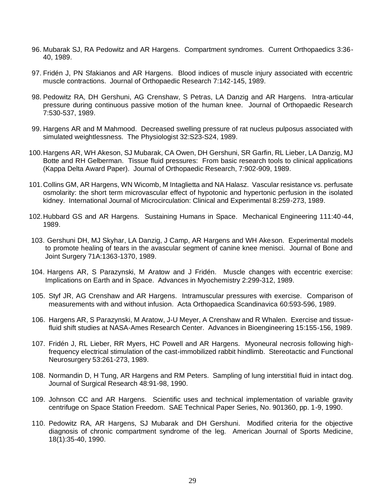- 96. Mubarak SJ, RA Pedowitz and AR Hargens. Compartment syndromes. Current Orthopaedics 3:36- 40, 1989.
- 97. Fridén J, PN Sfakianos and AR Hargens. Blood indices of muscle injury associated with eccentric muscle contractions. Journal of Orthopaedic Research 7:142-145, 1989.
- 98. Pedowitz RA, DH Gershuni, AG Crenshaw, S Petras, LA Danzig and AR Hargens. Intra-articular pressure during continuous passive motion of the human knee. Journal of Orthopaedic Research 7:530-537, 1989.
- 99. Hargens AR and M Mahmood. Decreased swelling pressure of rat nucleus pulposus associated with simulated weightlessness. The Physiologist 32:S23-S24, 1989.
- 100.Hargens AR, WH Akeson, SJ Mubarak, CA Owen, DH Gershuni, SR Garfin, RL Lieber, LA Danzig, MJ Botte and RH Gelberman. Tissue fluid pressures: From basic research tools to clinical applications (Kappa Delta Award Paper). Journal of Orthopaedic Research, 7:902-909, 1989.
- 101.Collins GM, AR Hargens, WN Wicomb, M Intaglietta and NA Halasz. Vascular resistance vs. perfusate osmolarity: the short term microvascular effect of hypotonic and hypertonic perfusion in the isolated kidney. International Journal of Microcirculation: Clinical and Experimental 8:259-273, 1989.
- 102.Hubbard GS and AR Hargens. Sustaining Humans in Space. Mechanical Engineering 111:40-44, 1989.
- 103. Gershuni DH, MJ Skyhar, LA Danzig, J Camp, AR Hargens and WH Akeson. Experimental models to promote healing of tears in the avascular segment of canine knee menisci. Journal of Bone and Joint Surgery 71A:1363-1370, 1989.
- 104. Hargens AR, S Parazynski, M Aratow and J Fridén. Muscle changes with eccentric exercise: Implications on Earth and in Space. Advances in Myochemistry 2:299-312, 1989.
- 105. Styf JR, AG Crenshaw and AR Hargens. Intramuscular pressures with exercise. Comparison of measurements with and without infusion. Acta Orthopaedica Scandinavica 60:593-596, 1989.
- 106. Hargens AR, S Parazynski, M Aratow, J-U Meyer, A Crenshaw and R Whalen. Exercise and tissuefluid shift studies at NASA-Ames Research Center. Advances in Bioengineering 15:155-156, 1989.
- 107. Fridén J, RL Lieber, RR Myers, HC Powell and AR Hargens. Myoneural necrosis following highfrequency electrical stimulation of the cast-immobilized rabbit hindlimb. Stereotactic and Functional Neurosurgery 53:261-273, 1989.
- 108. Normandin D, H Tung, AR Hargens and RM Peters. Sampling of lung interstitial fluid in intact dog. Journal of Surgical Research 48:91-98, 1990.
- 109. Johnson CC and AR Hargens. Scientific uses and technical implementation of variable gravity centrifuge on Space Station Freedom. SAE Technical Paper Series, No. 901360, pp. 1-9, 1990.
- 110. Pedowitz RA, AR Hargens, SJ Mubarak and DH Gershuni. Modified criteria for the objective diagnosis of chronic compartment syndrome of the leg. American Journal of Sports Medicine, 18(1):35-40, 1990.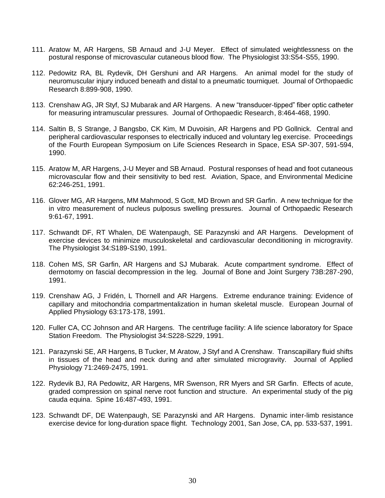- 111. Aratow M, AR Hargens, SB Arnaud and J-U Meyer. Effect of simulated weightlessness on the postural response of microvascular cutaneous blood flow. The Physiologist 33:S54-S55, 1990.
- 112. Pedowitz RA, BL Rydevik, DH Gershuni and AR Hargens. An animal model for the study of neuromuscular injury induced beneath and distal to a pneumatic tourniquet. Journal of Orthopaedic Research 8:899-908, 1990.
- 113. Crenshaw AG, JR Styf, SJ Mubarak and AR Hargens. A new "transducer-tipped" fiber optic catheter for measuring intramuscular pressures. Journal of Orthopaedic Research, 8:464-468, 1990.
- 114. Saltin B, S Strange, J Bangsbo, CK Kim, M Duvoisin, AR Hargens and PD Gollnick. Central and peripheral cardiovascular responses to electrically induced and voluntary leg exercise. Proceedings of the Fourth European Symposium on Life Sciences Research in Space, ESA SP-307, 591-594, 1990.
- 115. Aratow M, AR Hargens, J-U Meyer and SB Arnaud. Postural responses of head and foot cutaneous microvascular flow and their sensitivity to bed rest. Aviation, Space, and Environmental Medicine 62:246-251, 1991.
- 116. Glover MG, AR Hargens, MM Mahmood, S Gott, MD Brown and SR Garfin. A new technique for the in vitro measurement of nucleus pulposus swelling pressures. Journal of Orthopaedic Research 9:61-67, 1991.
- 117. Schwandt DF, RT Whalen, DE Watenpaugh, SE Parazynski and AR Hargens. Development of exercise devices to minimize musculoskeletal and cardiovascular deconditioning in microgravity. The Physiologist 34:S189-S190, 1991.
- 118. Cohen MS, SR Garfin, AR Hargens and SJ Mubarak. Acute compartment syndrome. Effect of dermotomy on fascial decompression in the leg. Journal of Bone and Joint Surgery 73B:287-290, 1991.
- 119. Crenshaw AG, J Fridén, L Thornell and AR Hargens. Extreme endurance training: Evidence of capillary and mitochondria compartmentalization in human skeletal muscle. European Journal of Applied Physiology 63:173-178, 1991.
- 120. Fuller CA, CC Johnson and AR Hargens. The centrifuge facility: A life science laboratory for Space Station Freedom. The Physiologist 34:S228-S229, 1991.
- 121. Parazynski SE, AR Hargens, B Tucker, M Aratow, J Styf and A Crenshaw. Transcapillary fluid shifts in tissues of the head and neck during and after simulated microgravity. Journal of Applied Physiology 71:2469-2475, 1991.
- 122. Rydevik BJ, RA Pedowitz, AR Hargens, MR Swenson, RR Myers and SR Garfin. Effects of acute, graded compression on spinal nerve root function and structure. An experimental study of the pig cauda equina. Spine 16:487-493, 1991.
- 123. Schwandt DF, DE Watenpaugh, SE Parazynski and AR Hargens. Dynamic inter-limb resistance exercise device for long-duration space flight. Technology 2001, San Jose, CA, pp. 533-537, 1991.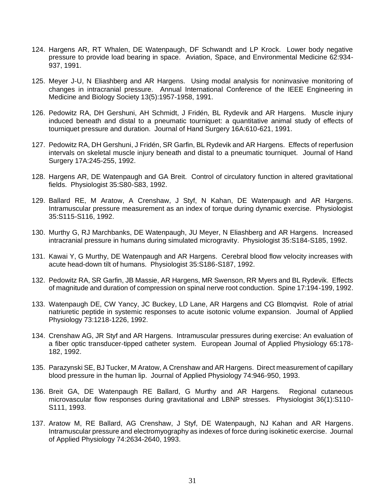- 124. Hargens AR, RT Whalen, DE Watenpaugh, DF Schwandt and LP Krock. Lower body negative pressure to provide load bearing in space. Aviation, Space, and Environmental Medicine 62:934- 937, 1991.
- 125. Meyer J-U, N Eliashberg and AR Hargens. Using modal analysis for noninvasive monitoring of changes in intracranial pressure. Annual International Conference of the IEEE Engineering in Medicine and Biology Society 13(5):1957-1958, 1991.
- 126. Pedowitz RA, DH Gershuni, AH Schmidt, J Fridén, BL Rydevik and AR Hargens. Muscle injury induced beneath and distal to a pneumatic tourniquet: a quantitative animal study of effects of tourniquet pressure and duration. Journal of Hand Surgery 16A:610-621, 1991.
- 127. Pedowitz RA, DH Gershuni, J Fridén, SR Garfin, BL Rydevik and AR Hargens. Effects of reperfusion intervals on skeletal muscle injury beneath and distal to a pneumatic tourniquet. Journal of Hand Surgery 17A:245-255, 1992.
- 128. Hargens AR, DE Watenpaugh and GA Breit. Control of circulatory function in altered gravitational fields. Physiologist 35:S80-S83, 1992.
- 129. Ballard RE, M Aratow, A Crenshaw, J Styf, N Kahan, DE Watenpaugh and AR Hargens. Intramuscular pressure measurement as an index of torque during dynamic exercise. Physiologist 35:S115-S116, 1992.
- 130. Murthy G, RJ Marchbanks, DE Watenpaugh, JU Meyer, N Eliashberg and AR Hargens. Increased intracranial pressure in humans during simulated microgravity. Physiologist 35:S184-S185, 1992.
- 131. Kawai Y, G Murthy, DE Watenpaugh and AR Hargens. Cerebral blood flow velocity increases with acute head-down tilt of humans. Physiologist 35:S186-S187, 1992.
- 132. Pedowitz RA, SR Garfin, JB Massie, AR Hargens, MR Swenson, RR Myers and BL Rydevik. Effects of magnitude and duration of compression on spinal nerve root conduction. Spine 17:194-199, 1992.
- 133. Watenpaugh DE, CW Yancy, JC Buckey, LD Lane, AR Hargens and CG Blomqvist. Role of atrial natriuretic peptide in systemic responses to acute isotonic volume expansion. Journal of Applied Physiology 73:1218-1226, 1992.
- 134. Crenshaw AG, JR Styf and AR Hargens. Intramuscular pressures during exercise: An evaluation of a fiber optic transducer-tipped catheter system. European Journal of Applied Physiology 65:178- 182, 1992.
- 135. Parazynski SE, BJ Tucker, M Aratow, A Crenshaw and AR Hargens. Direct measurement of capillary blood pressure in the human lip. Journal of Applied Physiology 74:946-950, 1993.
- 136. Breit GA, DE Watenpaugh RE Ballard, G Murthy and AR Hargens. Regional cutaneous microvascular flow responses during gravitational and LBNP stresses. Physiologist 36(1):S110- S111, 1993.
- 137. Aratow M, RE Ballard, AG Crenshaw, J Styf, DE Watenpaugh, NJ Kahan and AR Hargens. Intramuscular pressure and electromyography as indexes of force during isokinetic exercise. Journal of Applied Physiology 74:2634-2640, 1993.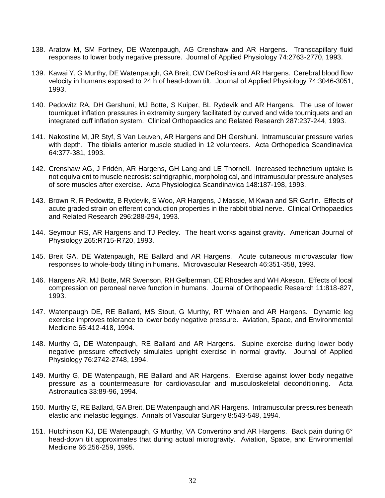- 138. Aratow M, SM Fortney, DE Watenpaugh, AG Crenshaw and AR Hargens. Transcapillary fluid responses to lower body negative pressure. Journal of Applied Physiology 74:2763-2770, 1993.
- 139. Kawai Y, G Murthy, DE Watenpaugh, GA Breit, CW DeRoshia and AR Hargens. Cerebral blood flow velocity in humans exposed to 24 h of head-down tilt. Journal of Applied Physiology 74:3046-3051, 1993.
- 140. Pedowitz RA, DH Gershuni, MJ Botte, S Kuiper, BL Rydevik and AR Hargens. The use of lower tourniquet inflation pressures in extremity surgery facilitated by curved and wide tourniquets and an integrated cuff inflation system. Clinical Orthopaedics and Related Research 287:237-244, 1993.
- 141. Nakostine M, JR Styf, S Van Leuven, AR Hargens and DH Gershuni. Intramuscular pressure varies with depth. The tibialis anterior muscle studied in 12 volunteers. Acta Orthopedica Scandinavica 64:377-381, 1993.
- 142. Crenshaw AG, J Fridén, AR Hargens, GH Lang and LE Thornell. Increased technetium uptake is not equivalent to muscle necrosis: scintigraphic, morphological, and intramuscular pressure analyses of sore muscles after exercise. Acta Physiologica Scandinavica 148:187-198, 1993.
- 143. Brown R, R Pedowitz, B Rydevik, S Woo, AR Hargens, J Massie, M Kwan and SR Garfin. Effects of acute graded strain on efferent conduction properties in the rabbit tibial nerve. Clinical Orthopaedics and Related Research 296:288-294, 1993.
- 144. Seymour RS, AR Hargens and TJ Pedley. The heart works against gravity. American Journal of Physiology 265:R715-R720, 1993.
- 145. Breit GA, DE Watenpaugh, RE Ballard and AR Hargens. Acute cutaneous microvascular flow responses to whole-body tilting in humans. Microvascular Research 46:351-358, 1993.
- 146. Hargens AR, MJ Botte, MR Swenson, RH Gelberman, CE Rhoades and WH Akeson. Effects of local compression on peroneal nerve function in humans. Journal of Orthopaedic Research 11:818-827, 1993.
- 147. Watenpaugh DE, RE Ballard, MS Stout, G Murthy, RT Whalen and AR Hargens. Dynamic leg exercise improves tolerance to lower body negative pressure. Aviation, Space, and Environmental Medicine 65:412-418, 1994.
- 148. Murthy G, DE Watenpaugh, RE Ballard and AR Hargens. Supine exercise during lower body negative pressure effectively simulates upright exercise in normal gravity. Journal of Applied Physiology 76:2742-2748, 1994.
- 149. Murthy G, DE Watenpaugh, RE Ballard and AR Hargens. Exercise against lower body negative pressure as a countermeasure for cardiovascular and musculoskeletal deconditioning. Acta Astronautica 33:89-96, 1994.
- 150. Murthy G, RE Ballard, GA Breit, DE Watenpaugh and AR Hargens. Intramuscular pressures beneath elastic and inelastic leggings. Annals of Vascular Surgery 8:543-548, 1994.
- 151. Hutchinson KJ, DE Watenpaugh, G Murthy, VA Convertino and AR Hargens. Back pain during 6° head-down tilt approximates that during actual microgravity. Aviation, Space, and Environmental Medicine 66:256-259, 1995.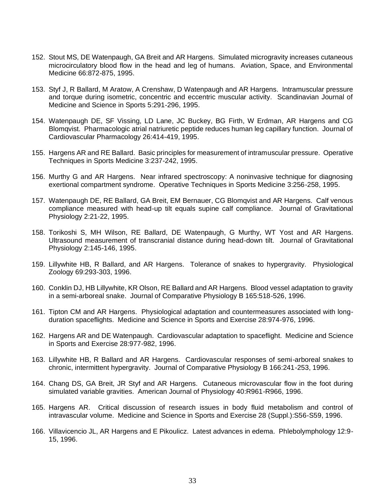- 152. Stout MS, DE Watenpaugh, GA Breit and AR Hargens. Simulated microgravity increases cutaneous microcirculatory blood flow in the head and leg of humans. Aviation, Space, and Environmental Medicine 66:872-875, 1995.
- 153. Styf J, R Ballard, M Aratow, A Crenshaw, D Watenpaugh and AR Hargens. Intramuscular pressure and torque during isometric, concentric and eccentric muscular activity. Scandinavian Journal of Medicine and Science in Sports 5:291-296, 1995.
- 154. Watenpaugh DE, SF Vissing, LD Lane, JC Buckey, BG Firth, W Erdman, AR Hargens and CG Blomqvist. Pharmacologic atrial natriuretic peptide reduces human leg capillary function. Journal of Cardiovascular Pharmacology 26:414-419, 1995.
- 155. Hargens AR and RE Ballard. Basic principles for measurement of intramuscular pressure. Operative Techniques in Sports Medicine 3:237-242, 1995.
- 156. Murthy G and AR Hargens. Near infrared spectroscopy: A noninvasive technique for diagnosing exertional compartment syndrome. Operative Techniques in Sports Medicine 3:256-258, 1995.
- 157. Watenpaugh DE, RE Ballard, GA Breit, EM Bernauer, CG Blomqvist and AR Hargens. Calf venous compliance measured with head-up tilt equals supine calf compliance. Journal of Gravitational Physiology 2:21-22, 1995.
- 158. Torikoshi S, MH Wilson, RE Ballard, DE Watenpaugh, G Murthy, WT Yost and AR Hargens. Ultrasound measurement of transcranial distance during head-down tilt. Journal of Gravitational Physiology 2:145-146, 1995.
- 159. Lillywhite HB, R Ballard, and AR Hargens. Tolerance of snakes to hypergravity. Physiological Zoology 69:293-303, 1996.
- 160. Conklin DJ, HB Lillywhite, KR Olson, RE Ballard and AR Hargens. Blood vessel adaptation to gravity in a semi-arboreal snake. Journal of Comparative Physiology B 165:518-526, 1996.
- 161. Tipton CM and AR Hargens. Physiological adaptation and countermeasures associated with longduration spaceflights. Medicine and Science in Sports and Exercise 28:974-976, 1996.
- 162. Hargens AR and DE Watenpaugh. Cardiovascular adaptation to spaceflight. Medicine and Science in Sports and Exercise 28:977-982, 1996.
- 163. Lillywhite HB, R Ballard and AR Hargens. Cardiovascular responses of semi-arboreal snakes to chronic, intermittent hypergravity. Journal of Comparative Physiology B 166:241-253, 1996.
- 164. Chang DS, GA Breit, JR Styf and AR Hargens. Cutaneous microvascular flow in the foot during simulated variable gravities. American Journal of Physiology 40:R961-R966, 1996.
- 165. Hargens AR. Critical discussion of research issues in body fluid metabolism and control of intravascular volume. Medicine and Science in Sports and Exercise 28 (Suppl.):S56-S59, 1996.
- 166. Villavicencio JL, AR Hargens and E Pikoulicz. Latest advances in edema. Phlebolymphology 12:9- 15, 1996.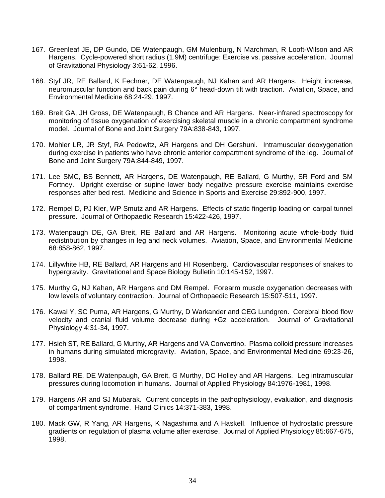- 167. Greenleaf JE, DP Gundo, DE Watenpaugh, GM Mulenburg, N Marchman, R Looft-Wilson and AR Hargens. Cycle-powered short radius (1.9M) centrifuge: Exercise vs. passive acceleration. Journal of Gravitational Physiology 3:61-62, 1996.
- 168. Styf JR, RE Ballard, K Fechner, DE Watenpaugh, NJ Kahan and AR Hargens. Height increase, neuromuscular function and back pain during 6° head-down tilt with traction. Aviation, Space, and Environmental Medicine 68:24-29, 1997.
- 169. Breit GA, JH Gross, DE Watenpaugh, B Chance and AR Hargens. Near-infrared spectroscopy for monitoring of tissue oxygenation of exercising skeletal muscle in a chronic compartment syndrome model. Journal of Bone and Joint Surgery 79A:838-843, 1997.
- 170. Mohler LR, JR Styf, RA Pedowitz, AR Hargens and DH Gershuni. Intramuscular deoxygenation during exercise in patients who have chronic anterior compartment syndrome of the leg. Journal of Bone and Joint Surgery 79A:844-849, 1997.
- 171. Lee SMC, BS Bennett, AR Hargens, DE Watenpaugh, RE Ballard, G Murthy, SR Ford and SM Fortney. Upright exercise or supine lower body negative pressure exercise maintains exercise responses after bed rest. Medicine and Science in Sports and Exercise 29:892-900, 1997.
- 172. Rempel D, PJ Kier, WP Smutz and AR Hargens. Effects of static fingertip loading on carpal tunnel pressure. Journal of Orthopaedic Research 15:422-426, 1997.
- 173. Watenpaugh DE, GA Breit, RE Ballard and AR Hargens. Monitoring acute whole-body fluid redistribution by changes in leg and neck volumes. Aviation, Space, and Environmental Medicine 68:858-862, 1997.
- 174. Lillywhite HB, RE Ballard, AR Hargens and HI Rosenberg. Cardiovascular responses of snakes to hypergravity. Gravitational and Space Biology Bulletin 10:145-152, 1997.
- 175. Murthy G, NJ Kahan, AR Hargens and DM Rempel. Forearm muscle oxygenation decreases with low levels of voluntary contraction. Journal of Orthopaedic Research 15:507-511, 1997.
- 176. Kawai Y, SC Puma, AR Hargens, G Murthy, D Warkander and CEG Lundgren. Cerebral blood flow velocity and cranial fluid volume decrease during +Gz acceleration. Journal of Gravitational Physiology 4:31-34, 1997.
- 177. Hsieh ST, RE Ballard, G Murthy, AR Hargens and VA Convertino. Plasma colloid pressure increases in humans during simulated microgravity. Aviation, Space, and Environmental Medicine 69:23-26, 1998.
- 178. Ballard RE, DE Watenpaugh, GA Breit, G Murthy, DC Holley and AR Hargens. Leg intramuscular pressures during locomotion in humans. Journal of Applied Physiology 84:1976-1981, 1998.
- 179. Hargens AR and SJ Mubarak. Current concepts in the pathophysiology, evaluation, and diagnosis of compartment syndrome. Hand Clinics 14:371-383, 1998.
- 180. Mack GW, R Yang, AR Hargens, K Nagashima and A Haskell. Influence of hydrostatic pressure gradients on regulation of plasma volume after exercise. Journal of Applied Physiology 85:667-675, 1998.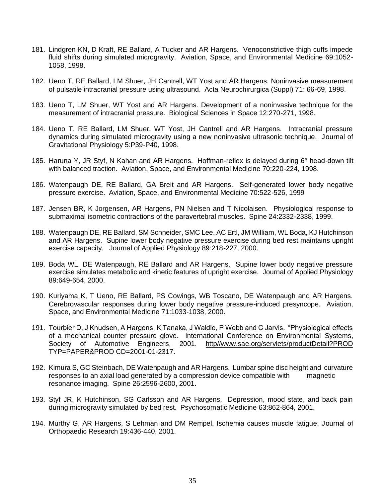- 181. Lindgren KN, D Kraft, RE Ballard, A Tucker and AR Hargens. Venoconstrictive thigh cuffs impede fluid shifts during simulated microgravity. Aviation, Space, and Environmental Medicine 69:1052- 1058, 1998.
- 182. Ueno T, RE Ballard, LM Shuer, JH Cantrell, WT Yost and AR Hargens. Noninvasive measurement of pulsatile intracranial pressure using ultrasound. Acta Neurochirurgica (Suppl) 71: 66-69, 1998.
- 183. Ueno T, LM Shuer, WT Yost and AR Hargens. Development of a noninvasive technique for the measurement of intracranial pressure. Biological Sciences in Space 12:270-271, 1998.
- 184. Ueno T, RE Ballard, LM Shuer, WT Yost, JH Cantrell and AR Hargens. Intracranial pressure dynamics during simulated microgravity using a new noninvasive ultrasonic technique. Journal of Gravitational Physiology 5:P39-P40, 1998.
- 185. Haruna Y, JR Styf, N Kahan and AR Hargens. Hoffman-reflex is delayed during 6° head-down tilt with balanced traction. Aviation, Space, and Environmental Medicine 70:220-224, 1998.
- 186. Watenpaugh DE, RE Ballard, GA Breit and AR Hargens. Self-generated lower body negative pressure exercise. Aviation, Space, and Environmental Medicine 70:522-526, 1999
- 187. Jensen BR, K Jorgensen, AR Hargens, PN Nielsen and T Nicolaisen. Physiological response to submaximal isometric contractions of the paravertebral muscles. Spine 24:2332-2338, 1999.
- 188. Watenpaugh DE, RE Ballard, SM Schneider, SMC Lee, AC Ertl, JM William, WL Boda, KJ Hutchinson and AR Hargens. Supine lower body negative pressure exercise during bed rest maintains upright exercise capacity. Journal of Applied Physiology 89:218-227, 2000.
- 189. Boda WL, DE Watenpaugh, RE Ballard and AR Hargens. Supine lower body negative pressure exercise simulates metabolic and kinetic features of upright exercise. Journal of Applied Physiology 89:649-654, 2000.
- 190. Kuriyama K, T Ueno, RE Ballard, PS Cowings, WB Toscano, DE Watenpaugh and AR Hargens. Cerebrovascular responses during lower body negative pressure-induced presyncope. Aviation, Space, and Environmental Medicine 71:1033-1038, 2000.
- 191. Tourbier D, J Knudsen, A Hargens, K Tanaka, J Waldie, P Webb and C Jarvis. "Physiological effects of a mechanical counter pressure glove. International Conference on Environmental Systems, Society of Automotive Engineers, 2001. http//www.sae.org/servlets/productDetail?PROD TYP=PAPER&PROD CD=2001-01-2317.
- 192. Kimura S, GC Steinbach, DE Watenpaugh and AR Hargens. Lumbar spine disc height and curvature responses to an axial load generated by a compression device compatible with magnetic resonance imaging. Spine 26:2596-2600, 2001.
- 193. Styf JR, K Hutchinson, SG Carlsson and AR Hargens. Depression, mood state, and back pain during microgravity simulated by bed rest. Psychosomatic Medicine 63:862-864, 2001.
- 194. Murthy G, AR Hargens, S Lehman and DM Rempel. Ischemia causes muscle fatigue. Journal of Orthopaedic Research 19:436-440, 2001.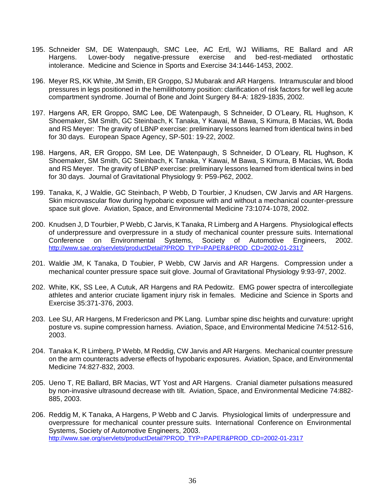- 195. Schneider SM, DE Watenpaugh, SMC Lee, AC Ertl, WJ Williams, RE Ballard and AR Hargens. Lower-body negative-pressure exercise and bed-rest-mediated orthostatic intolerance. Medicine and Science in Sports and Exercise 34:1446-1453, 2002.
- 196. Meyer RS, KK White, JM Smith, ER Groppo, SJ Mubarak and AR Hargens. Intramuscular and blood pressures in legs positioned in the hemilithotomy position: clarification of risk factors for well leg acute compartment syndrome. Journal of Bone and Joint Surgery 84-A: 1829-1835, 2002.
- 197. Hargens AR, ER Groppo, SMC Lee, DE Watenpaugh, S Schneider, D O'Leary, RL Hughson, K Shoemaker, SM Smith, GC Steinbach, K Tanaka, Y Kawai, M Bawa, S Kimura, B Macias, WL Boda and RS Meyer: The gravity of LBNP exercise: preliminary lessons learned from identical twins in bed for 30 days. European Space Agency, SP-501: 19-22, 2002.
- 198. Hargens, AR, ER Groppo, SM Lee, DE Watenpaugh, S Schneider, D O'Leary, RL Hughson, K Shoemaker, SM Smith, GC Steinbach, K Tanaka, Y Kawai, M Bawa, S Kimura, B Macias, WL Boda and RS Meyer. The gravity of LBNP exercise: preliminary lessons learned from identical twins in bed for 30 days. Journal of Gravitational Physiology 9: P59-P62, 2002.
- 199. Tanaka, K, J Waldie, GC Steinbach, P Webb, D Tourbier, J Knudsen, CW Jarvis and AR Hargens. Skin microvascular flow during hypobaric exposure with and without a mechanical counter-pressure space suit glove. Aviation, Space, and Environmental Medicine 73:1074-1078, 2002.
- 200. Knudsen J, D Tourbier, P Webb, C Jarvis, K Tanaka, R Limberg and A Hargens. Physiological effects of underpressure and overpressure in a study of mechanical counter pressure suits. International Conference on Environmental Systems, Society of Automotive Engineers, 2002. [http://www.sae.org/servlets/productDetail?PROD\\_TYP=PAPER&PROD\\_CD=2002-01-2317](http://www.sae.org/servlets/productDetail?PROD_TYP=PAPER&PROD_CD=2002-01-2317)
- 201. Waldie JM, K Tanaka, D Toubier, P Webb, CW Jarvis and AR Hargens. Compression under a mechanical counter pressure space suit glove. Journal of Gravitational Physiology 9:93-97, 2002.
- 202. White, KK, SS Lee, A Cutuk, AR Hargens and RA Pedowitz. EMG power spectra of intercollegiate athletes and anterior cruciate ligament injury risk in females. Medicine and Science in Sports and Exercise 35:371-376, 2003.
- 203. Lee SU, AR Hargens, M Fredericson and PK Lang. Lumbar spine disc heights and curvature: upright posture vs. supine compression harness. Aviation, Space, and Environmental Medicine 74:512-516, 2003.
- 204. Tanaka K, R Limberg, P Webb, M Reddig, CW Jarvis and AR Hargens. Mechanical counter pressure on the arm counteracts adverse effects of hypobaric exposures. Aviation, Space, and Environmental Medicine 74:827-832, 2003.
- 205. Ueno T, RE Ballard, BR Macias, WT Yost and AR Hargens. Cranial diameter pulsations measured by non-invasive ultrasound decrease with tilt. Aviation, Space, and Environmental Medicine 74:882- 885, 2003.
- 206. Reddig M, K Tanaka, A Hargens, P Webb and C Jarvis. Physiological limits of underpressure and overpressure for mechanical counter pressure suits. International Conference on Environmental Systems, Society of Automotive Engineers, 2003. [http://www.sae.org/servlets/productDetail?PROD\\_TYP=PAPER&PROD\\_CD=2002-01-2317](http://www.sae.org/servlets/productDetail?PROD_TYP=PAPER&PROD_CD=2002-01-2317)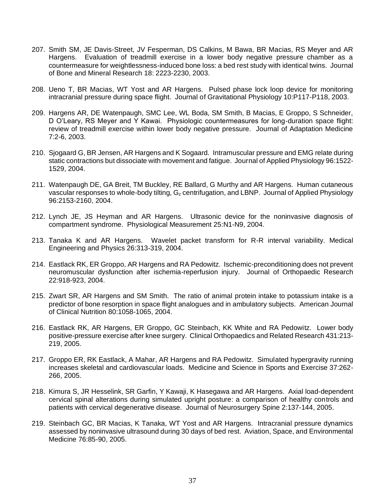- 207. Smith SM, JE Davis-Street, JV Fesperman, DS Calkins, M Bawa, BR Macias, RS Meyer and AR Hargens. Evaluation of treadmill exercise in a lower body negative pressure chamber as a countermeasure for weightlessness-induced bone loss: a bed rest study with identical twins. Journal of Bone and Mineral Research 18: 2223-2230, 2003.
- 208. Ueno T, BR Macias, WT Yost and AR Hargens. Pulsed phase lock loop device for monitoring intracranial pressure during space flight. Journal of Gravitational Physiology 10:P117-P118, 2003.
- 209. Hargens AR, DE Watenpaugh, SMC Lee, WL Boda, SM Smith, B Macias, E Groppo, S Schneider, D O'Leary, RS Meyer and Y Kawai. Physiologic countermeasures for long-duration space flight: review of treadmill exercise within lower body negative pressure. Journal of Adaptation Medicine 7:2-6, 2003.
- 210. Sjogaard G, BR Jensen, AR Hargens and K Sogaard. Intramuscular pressure and EMG relate during static contractions but dissociate with movement and fatigue. Journal of Applied Physiology 96:1522- 1529, 2004.
- 211. Watenpaugh DE, GA Breit, TM Buckley, RE Ballard, G Murthy and AR Hargens. Human cutaneous vascular responses to whole-body tilting, G<sub>z</sub> centrifugation, and LBNP. Journal of Applied Physiology 96:2153-2160, 2004.
- 212. Lynch JE, JS Heyman and AR Hargens. Ultrasonic device for the noninvasive diagnosis of compartment syndrome. Physiological Measurement 25:N1-N9, 2004.
- 213. Tanaka K and AR Hargens. Wavelet packet transform for R-R interval variability. Medical Engineering and Physics 26:313-319, 2004.
- 214. Eastlack RK, ER Groppo, AR Hargens and RA Pedowitz. Ischemic-preconditioning does not prevent neuromuscular dysfunction after ischemia-reperfusion injury. Journal of Orthopaedic Research 22:918-923, 2004.
- 215. Zwart SR, AR Hargens and SM Smith. The ratio of animal protein intake to potassium intake is a predictor of bone resorption in space flight analogues and in ambulatory subjects. American Journal of Clinical Nutrition 80:1058-1065, 2004.
- 216. Eastlack RK, AR Hargens, ER Groppo, GC Steinbach, KK White and RA Pedowitz. Lower body positive-pressure exercise after knee surgery. Clinical Orthopaedics and Related Research 431:213- 219, 2005.
- 217. Groppo ER, RK Eastlack, A Mahar, AR Hargens and RA Pedowitz. Simulated hypergravity running increases skeletal and cardiovascular loads. Medicine and Science in Sports and Exercise 37:262- 266, 2005.
- 218. Kimura S, JR Hesselink, SR Garfin, Y Kawaji, K Hasegawa and AR Hargens. Axial load-dependent cervical spinal alterations during simulated upright posture: a comparison of healthy controls and patients with cervical degenerative disease. Journal of Neurosurgery Spine 2:137-144, 2005.
- 219. Steinbach GC, BR Macias, K Tanaka, WT Yost and AR Hargens. Intracranial pressure dynamics assessed by noninvasive ultrasound during 30 days of bed rest. Aviation, Space, and Environmental Medicine 76:85-90, 2005.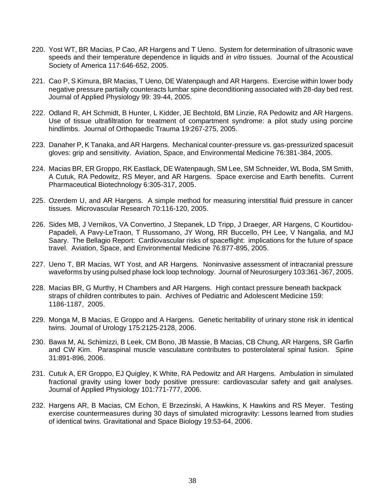- 220. Yost WT, BR Macias, P Cao, AR Hargens and T Ueno. System for determination of ultrasonic wave speeds and their temperature dependence in liquids and *in vitro* tissues. Journal of the Acoustical Society of America 117:646-652, 2005.
- 221. Cao P, S Kimura, BR Macias, T Ueno, DE Watenpaugh and AR Hargens. Exercise within lower body negative pressure partially counteracts lumbar spine deconditioning associated with 28-day bed rest. Journal of Applied Physiology 99: 39-44, 2005.
- 222. Odland R, AH Schmidt, B Hunter, L Kidder, JE Bechtold, BM Linzie, RA Pedowitz and AR Hargens. Use of tissue ultrafiltration for treatment of compartment syndrome: a pilot study using porcine hindlimbs. Journal of Orthopaedic Trauma 19:267-275, 2005.
- 223. Danaher P, K Tanaka, and AR Hargens. Mechanical counter-pressure vs. gas-pressurized spacesuit gloves: grip and sensitivity. Aviation, Space, and Environmental Medicine 76:381-384, 2005.
- 224. Macias BR, ER Groppo, RK Eastlack, DE Watenpaugh, SM Lee, SM Schneider, WL Boda, SM Smith, A Cutuk, RA Pedowitz, RS Meyer, and AR Hargens. Space exercise and Earth benefits. Current Pharmaceutical Biotechnology 6:305-317, 2005.
- 225. Ozerdem U, and AR Hargens. A simple method for measuring interstitial fluid pressure in cancer tissues. Microvascular Research 70:116-120, 2005.
- 226. Sides MB, J Vernikos, VA Convertino, J Stepanek, LD Tripp, J Draeger, AR Hargens, C Kourtidou-Papadeli, A Pavy-LeTraon, T Russomano, JY Wong, RR Buccello, PH Lee, V Nangalia, and MJ Saary. The Bellagio Report: Cardiovascular risks of spaceflight: implications for the future of space travel. Aviation, Space, and Environmental Medicine 76:877-895, 2005.
- 227. Ueno T, BR Macias, WT Yost, and AR Hargens. Noninvasive assessment of intracranial pressure waveforms by using pulsed phase lock loop technology. Journal of Neurosurgery 103:361-367, 2005.
- 228. Macias BR, G Murthy, H Chambers and AR Hargens. High contact pressure beneath backpack straps of children contributes to pain. Archives of Pediatric and Adolescent Medicine 159: 1186-1187, 2005.
- 229. Monga M, B Macias, E Groppo and A Hargens. Genetic heritability of urinary stone risk in identical twins. Journal of Urology 175:2125-2128, 2006.
- 230. Bawa M, AL Schimizzi, B Leek, CM Bono, JB Massie, B Macias, CB Chung, AR Hargens, SR Garfin and CW Kim. Paraspinal muscle vasculature contributes to posterolateral spinal fusion. Spine 31:891-896, 2006.
- 231. Cutuk A, ER Groppo, EJ Quigley, K White, RA Pedowitz and AR Hargens. Ambulation in simulated fractional gravity using lower body positive pressure: cardiovascular safety and gait analyses. Journal of Applied Physiology 101:771-777, 2006.
- 232. Hargens AR, B Macias, CM Echon, E Brzezinski, A Hawkins, K Hawkins and RS Meyer. Testing exercise countermeasures during 30 days of simulated microgravity: Lessons learned from studies of identical twins. Gravitational and Space Biology 19:53-64, 2006.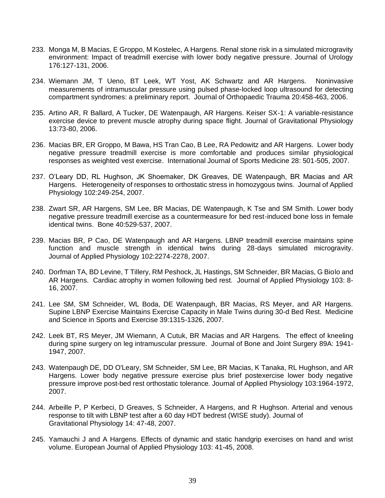- 233. Monga M, B Macias, E Groppo, M Kostelec, A Hargens. Renal stone risk in a simulated microgravity environment: Impact of treadmill exercise with lower body negative pressure. Journal of Urology 176:127-131, 2006.
- 234. Wiemann JM, T Ueno, BT Leek, WT Yost, AK Schwartz and AR Hargens. Noninvasive measurements of intramuscular pressure using pulsed phase-locked loop ultrasound for detecting compartment syndromes: a preliminary report. Journal of Orthopaedic Trauma 20:458-463, 2006.
- 235. Artino AR, R Ballard, A Tucker, DE Watenpaugh, AR Hargens. Keiser SX-1: A variable-resistance exercise device to prevent muscle atrophy during space flight. Journal of Gravitational Physiology 13:73-80, 2006.
- 236. Macias BR, ER Groppo, M Bawa, HS Tran Cao, B Lee, RA Pedowitz and AR Hargens. Lower body negative pressure treadmill exercise is more comfortable and produces similar physiological responses as weighted vest exercise. International Journal of Sports Medicine 28: 501-505, 2007.
- 237. O'Leary DD, RL Hughson, JK Shoemaker, DK Greaves, DE Watenpaugh, BR Macias and AR Hargens. Heterogeneity of responses to orthostatic stress in homozygous twins. Journal of Applied Physiology 102:249-254, 2007.
- 238. Zwart SR, AR Hargens, SM Lee, BR Macias, DE Watenpaugh, K Tse and SM Smith. Lower body negative pressure treadmill exercise as a countermeasure for bed rest-induced bone loss in female identical twins. Bone 40:529-537, 2007.
- 239. Macias BR, P Cao, DE Watenpaugh and AR Hargens. LBNP treadmill exercise maintains spine function and muscle strength in identical twins during 28-days simulated microgravity. Journal of Applied Physiology 102:2274-2278, 2007.
- 240. Dorfman TA, BD Levine, T Tillery, RM Peshock, JL Hastings, SM Schneider, BR Macias, G Biolo and AR Hargens. Cardiac atrophy in women following bed rest. Journal of Applied Physiology 103: 8- 16, 2007.
- 241. Lee SM, SM Schneider, WL Boda, DE Watenpaugh, BR Macias, RS Meyer, and AR Hargens. Supine LBNP Exercise Maintains Exercise Capacity in Male Twins during 30-d Bed Rest. Medicine and Science in Sports and Exercise 39:1315-1326, 2007.
- 242. Leek BT, RS Meyer, JM Wiemann, A Cutuk, BR Macias and AR Hargens. The effect of kneeling during spine surgery on leg intramuscular pressure. Journal of Bone and Joint Surgery 89A: 1941- 1947, 2007.
- 243. Watenpaugh DE, DD O'Leary, SM Schneider, SM Lee, BR Macias, K Tanaka, RL Hughson, and AR Hargens. Lower body negative pressure exercise plus brief postexercise lower body negative pressure improve post-bed rest orthostatic tolerance. Journal of Applied Physiology 103:1964-1972, 2007.
- 244. Arbeille P, P Kerbeci, D Greaves, S Schneider, A Hargens, and R Hughson. Arterial and venous response to tilt with LBNP test after a 60 day HDT bedrest (WISE study). Journal of Gravitational Physiology 14: 47-48, 2007.
- 245. Yamauchi J and A Hargens. Effects of dynamic and static handgrip exercises on hand and wrist volume. European Journal of Applied Physiology 103: 41-45, 2008.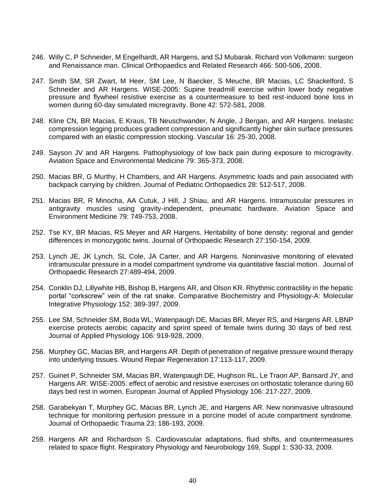- 246. Willy C, P Schneider, M Engelhardt, AR Hargens, and SJ Mubarak. Richard von Volkmann: surgeon and Renaissance man. Clinical Orthopaedics and Related Research 466: 500-506, 2008.
- 247. Smith SM, SR Zwart, M Heer, SM Lee, N Baecker, S Meuche, BR Macias, LC Shackelford, S Schneider and AR Hargens. WISE-2005: Supine treadmill exercise within lower body negative pressure and flywheel resistive exercise as a countermeasure to bed rest-induced bone loss in women during 60-day simulated micregravity. Bone 42: 572-581, 2008.
- 248. Kline CN, BR Macias, E Kraus, TB Neuschwander, N Angle, J Bergan, and AR Hargens. Inelastic compression legging produces gradient compression and significantly higher skin surface pressures compared with an elastic compression stocking. Vascular 16: 25-30, 2008.
- 249. Sayson JV and AR Hargens. Pathophysiology of low back pain during exposure to microgravity. Aviation Space and Environmental Medicine 79: 365-373, 2008.
- 250. Macias BR, G Murthy, H Chambers, and AR Hargens. Asymmetric loads and pain associated with backpack carrying by children. Journal of Pediatric Orthopaedics 28: 512-517, 2008.
- 251. Macias BR, R Minocha, AA Cutuk, J Hill, J Shiau, and AR Hargens. Intramuscular pressures in antigravity muscles using gravity-independent, pneumatic hardware. Aviation Space and Environment Medicine 79: 749-753, 2008.
- 252. Tse KY, BR Macias, RS Meyer and AR Hargens. Heritability of bone density: regional and gender differences in monozygotic twins. Journal of Orthopaedic Research 27:150-154, 2009.
- 253. Lynch JE, JK Lynch, SL Cole, JA Carter, and AR Hargens. Noninvasive monitoring of elevated intramuscular pressure in a model compartment syndrome via quantitative fascial motion. Journal of Orthopaedic Research 27:489-494, 2009.
- 254. Conklin DJ, Lillywhite HB, Bishop B, Hargens AR, and Olson KR. Rhythmic contractility in the hepatic portal "corkscrew" vein of the rat snake. Comparative Biochemistry and Physiology-A: Molecular Integrative Physiology 152: 389-397, 2009.
- 255. Lee SM, Schneider SM, Boda WL, Watenpaugh DE, Macias BR, Meyer RS, and Hargens AR. LBNP exercise protects aerobic capacity and sprint speed of female twins during 30 days of bed rest. Journal of Applied Physiology 106: 919-928, 2009.
- 256. Murphey GC, Macias BR, and Hargens AR. Depth of penetration of negative pressure wound therapy into underlying tissues. Wound Repair Regeneration 17:113-117, 2009.
- 257. Guinet P, Schneider SM, Macias BR, Watenpaugh DE, Hughson RL, Le Traon AP, Bansard JY, and Hargens AR. WISE-2005: effect of aerobic and resistive exercises on orthostatic tolerance during 60 days bed rest in women. European Journal of Applied Physiology 106: 217-227, 2009.
- 258. Garabekyan T, Murphey GC, Macias BR, Lynch JE, and Hargens AR. New noninvasive ultrasound technique for monitoring perfusion pressure in a porcine model of acute compartment syndrome. Journal of Orthopaedic Trauma 23: 186-193, 2009.
- 259. Hargens AR and Richardson S. Cardiovascular adaptations, fluid shifts, and countermeasures related to space flight. Respiratory Physiology and Neurobiology 169, Suppl 1: S30-33, 2009.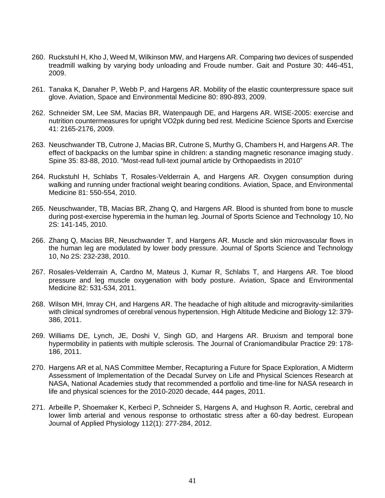- 260. Ruckstuhl H, Kho J, Weed M, Wilkinson MW, and Hargens AR. Comparing two devices of suspended treadmill walking by varying body unloading and Froude number. Gait and Posture 30: 446-451, 2009.
- 261. Tanaka K, Danaher P, Webb P, and Hargens AR. Mobility of the elastic counterpressure space suit glove. Aviation, Space and Environmental Medicine 80: 890-893, 2009.
- 262. Schneider SM, Lee SM, Macias BR, Watenpaugh DE, and Hargens AR. WISE-2005: exercise and nutrition countermeasures for upright VO2pk during bed rest. Medicine Science Sports and Exercise 41: 2165-2176, 2009.
- 263. Neuschwander TB, Cutrone J, Macias BR, Cutrone S, Murthy G, Chambers H, and Hargens AR. The effect of backpacks on the lumbar spine in children: a standing magnetic resonance imaging study. Spine 35: 83-88, 2010. "Most-read full-text journal article by Orthopaedists in 2010"
- 264. Ruckstuhl H, Schlabs T, Rosales-Velderrain A, and Hargens AR. Oxygen consumption during walking and running under fractional weight bearing conditions. Aviation, Space, and Environmental Medicine 81: 550-554, 2010.
- 265. Neuschwander, TB, Macias BR, Zhang Q, and Hargens AR. Blood is shunted from bone to muscle during post-exercise hyperemia in the human leg. Journal of Sports Science and Technology 10, No 2S: 141-145, 2010.
- 266. Zhang Q, Macias BR, Neuschwander T, and Hargens AR. Muscle and skin microvascular flows in the human leg are modulated by lower body pressure. Journal of Sports Science and Technology 10, No 2S: 232-238, 2010.
- 267. Rosales-Velderrain A, Cardno M, Mateus J, Kumar R, Schlabs T, and Hargens AR. Toe blood pressure and leg muscle oxygenation with body posture. Aviation, Space and Environmental Medicine 82: 531-534, 2011.
- 268. Wilson MH, Imray CH, and Hargens AR. The headache of high altitude and microgravity-similarities with clinical syndromes of cerebral venous hypertension. High Altitude Medicine and Biology 12: 379- 386, 2011.
- 269. Williams DE, Lynch, JE, Doshi V, Singh GD, and Hargens AR. Bruxism and temporal bone hypermobility in patients with multiple sclerosis. The Journal of Craniomandibular Practice 29: 178- 186, 2011.
- 270. Hargens AR et al, NAS Committee Member, Recapturing a Future for Space Exploration, A Midterm Assessment of Implementation of the Decadal Survey on Life and Physical Sciences Research at NASA, National Academies study that recommended a portfolio and time-line for NASA research in life and physical sciences for the 2010-2020 decade, 444 pages, 2011.
- 271. Arbeille P, Shoemaker K, Kerbeci P, Schneider S, Hargens A, and Hughson R. Aortic, cerebral and lower limb arterial and venous response to orthostatic stress after a 60-day bedrest. European Journal of Applied Physiology 112(1): 277-284, 2012.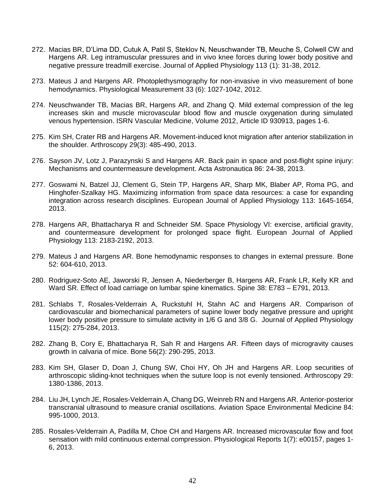- 272. Macias BR, D'Lima DD, Cutuk A, Patil S, Steklov N, Neuschwander TB, Meuche S, Colwell CW and Hargens AR. Leg intramuscular pressures and in vivo knee forces during lower body positive and negative pressure treadmill exercise. Journal of Applied Physiology 113 (1): 31-38, 2012.
- 273. Mateus J and Hargens AR. Photoplethysmography for non-invasive in vivo measurement of bone hemodynamics. Physiological Measurement 33 (6): 1027-1042, 2012.
- 274. Neuschwander TB, Macias BR, Hargens AR, and Zhang Q. Mild external compression of the leg increases skin and muscle microvascular blood flow and muscle oxygenation during simulated venous hypertension. ISRN Vascular Medicine, Volume 2012, Article ID 930913, pages 1-6.
- 275. Kim SH, Crater RB and Hargens AR. Movement-induced knot migration after anterior stabilization in the shoulder. Arthroscopy 29(3): 485-490, 2013.
- 276. Sayson JV, Lotz J, Parazynski S and Hargens AR. Back pain in space and post-flight spine injury: Mechanisms and countermeasure development. Acta Astronautica 86: 24-38, 2013.
- 277. Goswami N, Batzel JJ, Clement G, Stein TP, Hargens AR, Sharp MK, Blaber AP, Roma PG, and Hinghofer-Szalkay HG. Maximizing information from space data resources: a case for expanding integration across research disciplines. European Journal of Applied Physiology 113: 1645-1654, 2013.
- 278. Hargens AR, Bhattacharya R and Schneider SM. Space Physiology VI: exercise, artificial gravity, and countermeasure development for prolonged space flight. European Journal of Applied Physiology 113: 2183-2192, 2013.
- 279. Mateus J and Hargens AR. Bone hemodynamic responses to changes in external pressure. Bone 52: 604-610, 2013.
- 280. Rodriguez-Soto AE, Jaworski R, Jensen A, Niederberger B, Hargens AR, Frank LR, Kelly KR and Ward SR. Effect of load carriage on lumbar spine kinematics. Spine 38: E783 – E791, 2013.
- 281. Schlabs T, Rosales-Velderrain A, Ruckstuhl H, Stahn AC and Hargens AR. Comparison of cardiovascular and biomechanical parameters of supine lower body negative pressure and upright lower body positive pressure to simulate activity in 1/6 G and 3/8 G. Journal of Applied Physiology 115(2): 275-284, 2013.
- 282. Zhang B, Cory E, Bhattacharya R, Sah R and Hargens AR. Fifteen days of microgravity causes growth in calvaria of mice. Bone 56(2): 290-295, 2013.
- 283. Kim SH, Glaser D, Doan J, Chung SW, Choi HY, Oh JH and Hargens AR. Loop securities of arthroscopic sliding-knot techniques when the suture loop is not evenly tensioned. Arthroscopy 29: 1380-1386, 2013.
- 284. Liu JH, Lynch JE, Rosales-Velderrain A, Chang DG, Weinreb RN and Hargens AR. Anterior-posterior transcranial ultrasound to measure cranial oscillations. Aviation Space Environmental Medicine 84: 995-1000, 2013.
- 285. Rosales-Velderrain A, Padilla M, Choe CH and Hargens AR. Increased microvascular flow and foot sensation with mild continuous external compression. Physiological Reports 1(7): e00157, pages 1- 6, 2013.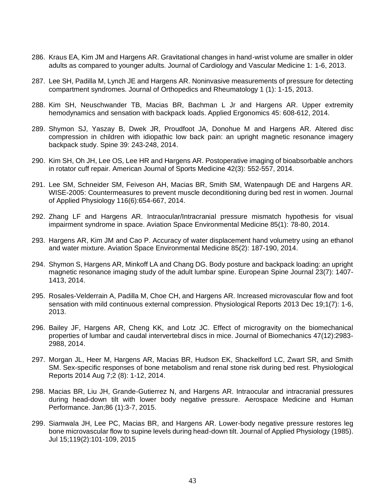- 286. Kraus EA, Kim JM and Hargens AR. Gravitational changes in hand-wrist volume are smaller in older adults as compared to younger adults. Journal of Cardiology and Vascular Medicine 1: 1-6, 2013.
- 287. Lee SH, Padilla M, Lynch JE and Hargens AR. Noninvasive measurements of pressure for detecting compartment syndromes. Journal of Orthopedics and Rheumatology 1 (1): 1-15, 2013.
- 288. Kim SH, Neuschwander TB, Macias BR, Bachman L Jr and Hargens AR. Upper extremity hemodynamics and sensation with backpack loads. Applied Ergonomics 45: 608-612, 2014.
- 289. Shymon SJ, Yaszay B, Dwek JR, Proudfoot JA, Donohue M and Hargens AR. Altered disc compression in children with idiopathic low back pain: an upright magnetic resonance imagery backpack study. Spine 39: 243-248, 2014.
- 290. Kim SH, Oh JH, Lee OS, Lee HR and Hargens AR. Postoperative imaging of bioabsorbable anchors in rotator cuff repair. American Journal of Sports Medicine 42(3): 552-557, 2014.
- 291. Lee SM, Schneider SM, Feiveson AH, Macias BR, Smith SM, Watenpaugh DE and Hargens AR. WISE-2005: Countermeasures to prevent muscle deconditioning during bed rest in women. Journal of Applied Physiology 116(6):654-667, 2014.
- 292. Zhang LF and Hargens AR. Intraocular/Intracranial pressure mismatch hypothesis for visual impairment syndrome in space. Aviation Space Environmental Medicine 85(1): 78-80, 2014.
- 293. Hargens AR, Kim JM and Cao P. Accuracy of water displacement hand volumetry using an ethanol and water mixture. Aviation Space Environmental Medicine 85(2): 187-190, 2014.
- 294. Shymon S, Hargens AR, Minkoff LA and Chang DG. Body posture and backpack loading: an upright magnetic resonance imaging study of the adult lumbar spine. European Spine Journal 23(7): 1407- 1413, 2014.
- 295. Rosales-Velderrain A, Padilla M, Choe CH, and Hargens AR. Increased microvascular flow and foot sensation with mild continuous external compression. Physiological Reports 2013 Dec 19;1(7): 1-6, 2013.
- 296. Bailey JF, Hargens AR, Cheng KK, and Lotz JC. Effect of microgravity on the biomechanical properties of lumbar and caudal intervertebral discs in mice. Journal of Biomechanics 47(12):2983- 2988, 2014.
- 297. Morgan JL, Heer M, Hargens AR, Macias BR, Hudson EK, Shackelford LC, Zwart SR, and Smith SM. Sex-specific responses of bone metabolism and renal stone risk during bed rest. Physiological Reports 2014 Aug 7;2 (8): 1-12, 2014.
- 298. Macias BR, Liu JH, Grande-Gutierrez N, and Hargens AR. Intraocular and intracranial pressures during head-down tilt with lower body negative pressure. Aerospace Medicine and Human Performance. Jan;86 (1):3-7, 2015.
- 299. Siamwala JH, Lee PC, Macias BR, and Hargens AR. Lower-body negative pressure restores leg bone microvascular flow to supine levels during head-down tilt. Journal of Applied Physiology (1985). Jul 15;119(2):101-109, 2015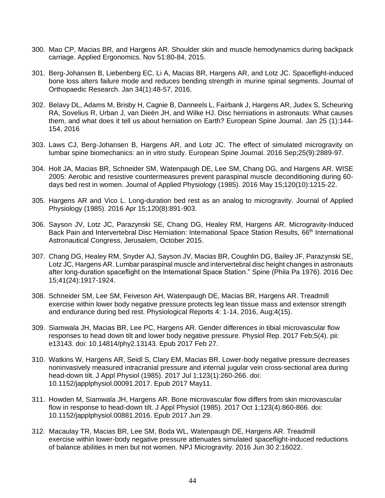- 300. Mao CP, Macias BR, and Hargens AR. Shoulder skin and muscle hemodynamics during backpack carriage. Applied Ergonomics. Nov 51:80-84, 2015.
- 301. Berg-Johansen B, Liebenberg EC, Li A, Macias BR, Hargens AR, and Lotz JC. Spaceflight-induced bone loss alters failure mode and reduces bending strength in murine spinal segments. Journal of Orthopaedic Research. Jan 34(1):48-57, 2016.
- 302. Belavy DL, Adams M, Brisby H, Cagnie B, Danneels L, Fairbank J, Hargens AR, Judex S, Scheuring RA, Sovelius R, Urban J, van Dieën JH, and Wilke HJ. Disc herniations in astronauts: What causes them, and what does it tell us about herniation on Earth? European Spine Journal. Jan 25 (1):144- 154, 2016
- 303. Laws CJ, Berg-Johansen B, Hargens AR, and Lotz JC. The effect of simulated microgravity on lumbar spine biomechanics: an in vitro study. European Spine Journal. 2016 Sep;25(9):2889-97.
- 304. Holt JA, Macias BR, Schneider SM, Watenpaugh DE, Lee SM, Chang DG, and Hargens AR. WISE 2005: Aerobic and resistive countermeasures prevent paraspinal muscle deconditioning during 60 days bed rest in women. Journal of Applied Physiology (1985). 2016 May 15;120(10):1215-22.
- 305. Hargens AR and Vico L. Long-duration bed rest as an analog to microgravity. Journal of Applied Physiology (1985). 2016 Apr 15;120(8):891-903.
- 306. Sayson JV, Lotz JC, Parazynski SE, Chang DG, Healey RM, Hargens AR. Microgravity-Induced Back Pain and Intervertebral Disc Herniation: International Space Station Results, 66<sup>th</sup> International Astronautical Congress, Jerusalem, October 2015.
- 307. Chang DG, Healey RM, Snyder AJ, Sayson JV, Macias BR, Coughlin DG, Bailey JF, Parazynski SE, Lotz JC, Hargens AR. Lumbar paraspinal muscle and intervertebral disc height changes in astronauts after long-duration spaceflight on the International Space Station." Spine (Phila Pa 1976). 2016 Dec 15;41(24):1917-1924.
- 308. Schneider SM, Lee SM, Feiveson AH, Watenpaugh DE, Macias BR, Hargens AR. Treadmill exercise within lower body negative pressure protects leg lean tissue mass and extensor strength and endurance during bed rest. Physiological Reports 4: 1-14, 2016, Aug;4(15).
- 309. Siamwala JH, Macias BR, Lee PC, Hargens AR. Gender differences in tibial microvascular flow responses to head down tilt and lower body negative pressure. Physiol Rep. 2017 Feb;5(4). pii: e13143. doi: 10.14814/phy2.13143. Epub 2017 Feb 27.
- 310. Watkins W, Hargens AR, Seidl S, Clary EM, Macias BR. Lower-body negative pressure decreases noninvasively measured intracranial pressure and internal jugular vein cross-sectional area during head-down tilt. J Appl Physiol (1985). 2017 Jul 1;123(1):260-266. doi: 10.1152/japplphysiol.00091.2017. Epub 2017 May11.
- 311. Howden M, Siamwala JH, Hargens AR. Bone microvascular flow differs from skin microvascular flow in response to head-down tilt. J Appl Physiol (1985). 2017 Oct 1;123(4):860-866. doi: 10.1152/japplphysiol.00881.2016. Epub 2017 Jun 29.
- 312. Macaulay TR, Macias BR, Lee SM, Boda WL, Watenpaugh DE, Hargens AR. Treadmill exercise within lower-body negative pressure attenuates simulated spaceflight-induced reductions of balance abilities in men but not women. NPJ Microgravity. 2016 Jun 30 2:16022.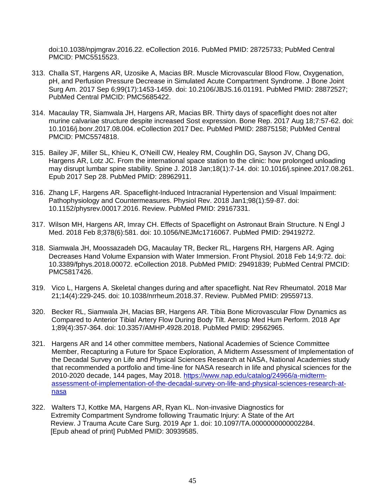doi:10.1038/npjmgrav.2016.22. eCollection 2016. PubMed PMID: 28725733; PubMed Central PMCID: PMC5515523.

- 313. Challa ST, Hargens AR, Uzosike A, Macias BR. Muscle Microvascular Blood Flow, Oxygenation, pH, and Perfusion Pressure Decrease in Simulated Acute Compartment Syndrome. J Bone Joint Surg Am. 2017 Sep 6;99(17):1453-1459. doi: 10.2106/JBJS.16.01191. PubMed PMID: 28872527; PubMed Central PMCID: PMC5685422.
- 314. Macaulay TR, Siamwala JH, Hargens AR, Macias BR. Thirty days of spaceflight does not alter murine calvariae structure despite increased Sost expression. Bone Rep. 2017 Aug 18;7:57-62. doi: 10.1016/j.bonr.2017.08.004. eCollection 2017 Dec. PubMed PMID: 28875158; PubMed Central PMCID: PMC5574818.
- 315. Bailey JF, Miller SL, Khieu K, O'Neill CW, Healey RM, Coughlin DG, Sayson JV, Chang DG, Hargens AR, Lotz JC. From the international space station to the clinic: how prolonged unloading may disrupt lumbar spine stability. Spine J. 2018 Jan;18(1):7-14. doi: 10.1016/j.spinee.2017.08.261. Epub 2017 Sep 28. PubMed PMID: 28962911.
- 316. Zhang LF, Hargens AR. Spaceflight-Induced Intracranial Hypertension and Visual Impairment: Pathophysiology and Countermeasures. Physiol Rev. 2018 Jan1;98(1):59-87. doi: 10.1152/physrev.00017.2016. Review. PubMed PMID: 29167331.
- 317. Wilson MH, Hargens AR, Imray CH. Effects of Spaceflight on Astronaut Brain Structure. N Engl J Med. 2018 Feb 8;378(6):581. doi: 10.1056/NEJMc1716067. PubMed PMID: 29419272.
- 318. Siamwala JH, Moossazadeh DG, Macaulay TR, Becker RL, Hargens RH, Hargens AR. Aging Decreases Hand Volume Expansion with Water Immersion. Front Physiol. 2018 Feb 14;9:72. doi: 10.3389/fphys.2018.00072. eCollection 2018. PubMed PMID: 29491839; PubMed Central PMCID: PMC5817426.
- 319. Vico L, Hargens A. Skeletal changes during and after spaceflight. Nat Rev Rheumatol. 2018 Mar 21;14(4):229-245. doi: 10.1038/nrrheum.2018.37. Review. PubMed PMID: 29559713.
- 320. Becker RL, Siamwala JH, Macias BR, Hargens AR. Tibia Bone Microvascular Flow Dynamics as Compared to Anterior Tibial Artery Flow During Body Tilt. Aerosp Med Hum Perform. 2018 Apr 1;89(4):357-364. doi: 10.3357/AMHP.4928.2018. PubMed PMID: 29562965.
- 321. Hargens AR and 14 other committee members, National Academies of Science Committee Member, Recapturing a Future for Space Exploration, A Midterm Assessment of Implementation of the Decadal Survey on Life and Physical Sciences Research at NASA, National Academies study that recommended a portfolio and time-line for NASA research in life and physical sciences for the 2010-2020 decade, 144 pages, May 2018. [https://www.nap.edu/catalog/24966/a-midterm](https://www.nap.edu/catalog/24966/a-midterm-assessment-of-implementation-of-the-decadal-survey-on-life-and-physical-sciences-research-at-nasa)[assessment-of-implementation-of-the-decadal-survey-on-life-and-physical-sciences-research-at](https://www.nap.edu/catalog/24966/a-midterm-assessment-of-implementation-of-the-decadal-survey-on-life-and-physical-sciences-research-at-nasa)[nasa](https://www.nap.edu/catalog/24966/a-midterm-assessment-of-implementation-of-the-decadal-survey-on-life-and-physical-sciences-research-at-nasa)
- 322. Walters TJ, Kottke MA, Hargens AR, Ryan KL. Non-invasive Diagnostics for Extremity Compartment Syndrome following Traumatic Injury: A State of the Art Review. J Trauma Acute Care Surg. 2019 Apr 1. doi: 10.1097/TA.0000000000002284. [Epub ahead of print] PubMed PMID: 30939585.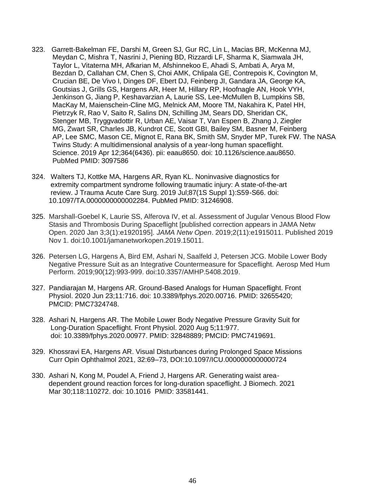- 323. Garrett-Bakelman FE, Darshi M, Green SJ, Gur RC, Lin L, Macias BR, McKenna MJ, Meydan C, Mishra T, Nasrini J, Piening BD, Rizzardi LF, Sharma K, Siamwala JH, Taylor L, Vitaterna MH, Afkarian M, Afshinnekoo E, Ahadi S, Ambati A, Arya M, Bezdan D, Callahan CM, Chen S, Choi AMK, Chlipala GE, Contrepois K, Covington M, Crucian BE, De Vivo I, Dinges DF, Ebert DJ, Feinberg JI, Gandara JA, George KA, Goutsias J, Grills GS, Hargens AR, Heer M, Hillary RP, Hoofnagle AN, Hook VYH, Jenkinson G, Jiang P, Keshavarzian A, Laurie SS, Lee-McMullen B, Lumpkins SB, MacKay M, Maienschein-Cline MG, Melnick AM, Moore TM, Nakahira K, Patel HH, Pietrzyk R, Rao V, Saito R, Salins DN, Schilling JM, Sears DD, Sheridan CK, Stenger MB, Tryggvadottir R, Urban AE, Vaisar T, Van Espen B, Zhang J, Ziegler MG, Zwart SR, Charles JB, Kundrot CE, Scott GBI, Bailey SM, Basner M, Feinberg AP, Lee SMC, Mason CE, Mignot E, Rana BK, Smith SM, Snyder MP, Turek FW. The NASA Twins Study: A multidimensional analysis of a year-long human spaceflight. Science. 2019 Apr 12;364(6436). pii: eaau8650. doi: 10.1126/science.aau8650. PubMed PMID: 3097586
- 324. Walters TJ, Kottke MA, Hargens AR, Ryan KL. Noninvasive diagnostics for extremity compartment syndrome following traumatic injury: A state-of-the-art review. J Trauma Acute Care Surg. 2019 Jul;87(1S Suppl 1):S59-S66. doi: 10.1097/TA.0000000000002284. PubMed PMID: 31246908.
- 325. Marshall-Goebel K, Laurie SS, Alferova IV, et al. Assessment of Jugular Venous Blood Flow Stasis and Thrombosis During Spaceflight [published correction appears in JAMA Netw Open. 2020 Jan 3;3(1):e1920195]. *JAMA Netw Open*. 2019;2(11):e1915011. Published 2019 Nov 1. doi:10.1001/jamanetworkopen.2019.15011.
- 326. Petersen LG, Hargens A, Bird EM, Ashari N, Saalfeld J, Petersen JCG. Mobile Lower Body Negative Pressure Suit as an Integrative Countermeasure for Spaceflight. Aerosp Med Hum Perform. 2019;90(12):993-999. doi:10.3357/AMHP.5408.2019.
- 327. Pandiarajan M, Hargens AR. Ground-Based Analogs for Human Spaceflight. Front Physiol. 2020 Jun 23;11:716. doi: 10.3389/fphys.2020.00716. PMID: 32655420; PMCID: PMC7324748.
- 328. Ashari N, Hargens AR. The Mobile Lower Body Negative Pressure Gravity Suit for Long-Duration Spaceflight. Front Physiol. 2020 Aug 5;11:977. doi: 10.3389/fphys.2020.00977. PMID: 32848889; PMCID: PMC7419691.
- 329. Khossravi EA, Hargens AR. Visual Disturbances during Prolonged Space Missions Curr Opin Ophthalmol 2021, 32:69–73, DOI:10.1097/ICU.0000000000000724
- 330. Ashari N, Kong M, Poudel A, Friend J, Hargens AR. Generating waist area dependent ground reaction forces for long-duration spaceflight. J Biomech. 2021 Mar 30;118:110272. doi: 10.1016 PMID: 33581441.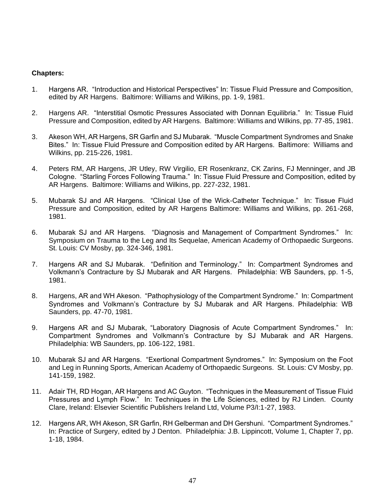#### **Chapters:**

- 1. Hargens AR. "Introduction and Historical Perspectives" In: Tissue Fluid Pressure and Composition, edited by AR Hargens. Baltimore: Williams and Wilkins, pp. 1-9, 1981.
- 2. Hargens AR. "Interstitial Osmotic Pressures Associated with Donnan Equilibria." In: Tissue Fluid Pressure and Composition, edited by AR Hargens. Baltimore: Williams and Wilkins, pp. 77-85, 1981.
- 3. Akeson WH, AR Hargens, SR Garfin and SJ Mubarak. "Muscle Compartment Syndromes and Snake Bites." In: Tissue Fluid Pressure and Composition edited by AR Hargens. Baltimore: Williams and Wilkins, pp. 215-226, 1981.
- 4. Peters RM, AR Hargens, JR Utley, RW Virgilio, ER Rosenkranz, CK Zarins, FJ Menninger, and JB Cologne. "Starling Forces Following Trauma." In: Tissue Fluid Pressure and Composition, edited by AR Hargens. Baltimore: Williams and Wilkins, pp. 227-232, 1981.
- 5. Mubarak SJ and AR Hargens. "Clinical Use of the Wick-Catheter Technique." In: Tissue Fluid Pressure and Composition, edited by AR Hargens Baltimore: Williams and Wilkins, pp. 261-268, 1981.
- 6. Mubarak SJ and AR Hargens. "Diagnosis and Management of Compartment Syndromes." In: Symposium on Trauma to the Leg and Its Sequelae, American Academy of Orthopaedic Surgeons. St. Louis: CV Mosby, pp. 324-346, 1981.
- 7. Hargens AR and SJ Mubarak. "Definition and Terminology." In: Compartment Syndromes and Volkmann's Contracture by SJ Mubarak and AR Hargens. Philadelphia: WB Saunders, pp. 1-5, 1981.
- 8. Hargens, AR and WH Akeson. "Pathophysiology of the Compartment Syndrome." In: Compartment Syndromes and Volkmann's Contracture by SJ Mubarak and AR Hargens. Philadelphia: WB Saunders, pp. 47-70, 1981.
- 9. Hargens AR and SJ Mubarak, "Laboratory Diagnosis of Acute Compartment Syndromes." In: Compartment Syndromes and Volkmann's Contracture by SJ Mubarak and AR Hargens. Philadelphia: WB Saunders, pp. 106-122, 1981.
- 10. Mubarak SJ and AR Hargens. "Exertional Compartment Syndromes." In: Symposium on the Foot and Leg in Running Sports, American Academy of Orthopaedic Surgeons. St. Louis: CV Mosby, pp. 141-159, 1982.
- 11. Adair TH, RD Hogan, AR Hargens and AC Guyton. "Techniques in the Measurement of Tissue Fluid Pressures and Lymph Flow." In: Techniques in the Life Sciences, edited by RJ Linden. County Clare, Ireland: Elsevier Scientific Publishers Ireland Ltd, Volume P3/I:1-27, 1983.
- 12. Hargens AR, WH Akeson, SR Garfin, RH Gelberman and DH Gershuni. "Compartment Syndromes." In: Practice of Surgery, edited by J Denton. Philadelphia: J.B. Lippincott, Volume 1, Chapter 7, pp. 1-18, 1984.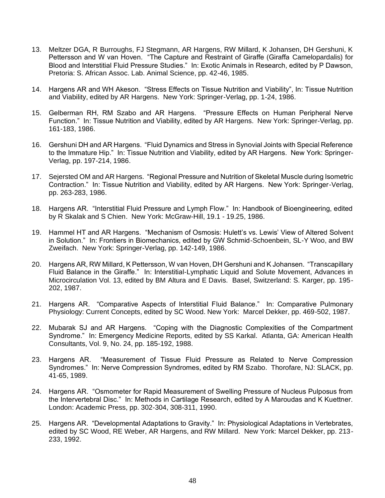- 13. Meltzer DGA, R Burroughs, FJ Stegmann, AR Hargens, RW Millard, K Johansen, DH Gershuni, K Pettersson and W van Hoven. "The Capture and Restraint of Giraffe (Giraffa Camelopardalis) for Blood and Interstitial Fluid Pressure Studies." In: Exotic Animals in Research, edited by P Dawson, Pretoria: S. African Assoc. Lab. Animal Science, pp. 42-46, 1985.
- 14. Hargens AR and WH Akeson. "Stress Effects on Tissue Nutrition and Viability", In: Tissue Nutrition and Viability, edited by AR Hargens. New York: Springer-Verlag, pp. 1-24, 1986.
- 15. Gelberman RH, RM Szabo and AR Hargens. "Pressure Effects on Human Peripheral Nerve Function." In: Tissue Nutrition and Viability, edited by AR Hargens. New York: Springer-Verlag, pp. 161-183, 1986.
- 16. Gershuni DH and AR Hargens. "Fluid Dynamics and Stress in Synovial Joints with Special Reference to the Immature Hip." In: Tissue Nutrition and Viability, edited by AR Hargens. New York: Springer-Verlag, pp. 197-214, 1986.
- 17. Sejersted OM and AR Hargens. "Regional Pressure and Nutrition of Skeletal Muscle during Isometric Contraction." In: Tissue Nutrition and Viability, edited by AR Hargens. New York: Springer-Verlag, pp. 263-283, 1986.
- 18. Hargens AR. "Interstitial Fluid Pressure and Lymph Flow." In: Handbook of Bioengineering, edited by R Skalak and S Chien. New York: McGraw-Hill, 19.1 - 19.25, 1986.
- 19. Hammel HT and AR Hargens. "Mechanism of Osmosis: Hulett's vs. Lewis' View of Altered Solvent in Solution." In: Frontiers in Biomechanics, edited by GW Schmid-Schoenbein, SL-Y Woo, and BW Zweifach. New York: Springer-Verlag, pp. 142-149, 1986.
- 20. Hargens AR, RW Millard, K Pettersson, W van Hoven, DH Gershuni and K Johansen. "Transcapillary Fluid Balance in the Giraffe." In: Interstitial-Lymphatic Liquid and Solute Movement, Advances in Microcirculation Vol. 13, edited by BM Altura and E Davis. Basel, Switzerland: S. Karger, pp. 195- 202, 1987.
- 21. Hargens AR. "Comparative Aspects of Interstitial Fluid Balance." In: Comparative Pulmonary Physiology: Current Concepts, edited by SC Wood. New York: Marcel Dekker, pp. 469-502, 1987.
- 22. Mubarak SJ and AR Hargens. "Coping with the Diagnostic Complexities of the Compartment Syndrome." In: Emergency Medicine Reports, edited by SS Karkal. Atlanta, GA: American Health Consultants, Vol. 9, No. 24, pp. 185-192, 1988.
- 23. Hargens AR. "Measurement of Tissue Fluid Pressure as Related to Nerve Compression Syndromes." In: Nerve Compression Syndromes, edited by RM Szabo. Thorofare, NJ: SLACK, pp. 41-65, 1989.
- 24. Hargens AR. "Osmometer for Rapid Measurement of Swelling Pressure of Nucleus Pulposus from the Intervertebral Disc." In: Methods in Cartilage Research, edited by A Maroudas and K Kuettner. London: Academic Press, pp. 302-304, 308-311, 1990.
- 25. Hargens AR. "Developmental Adaptations to Gravity." In: Physiological Adaptations in Vertebrates, edited by SC Wood, RE Weber, AR Hargens, and RW Millard. New York: Marcel Dekker, pp. 213- 233, 1992.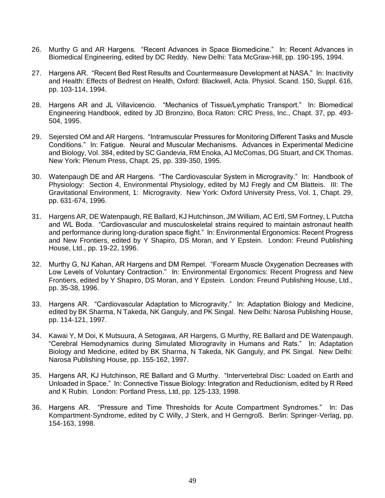- 26. Murthy G and AR Hargens. "Recent Advances in Space Biomedicine." In: Recent Advances in Biomedical Engineering, edited by DC Reddy. New Delhi: Tata McGraw-Hill, pp. 190-195, 1994.
- 27. Hargens AR. "Recent Bed Rest Results and Countermeasure Development at NASA." In: Inactivity and Health: Effects of Bedrest on Health, Oxford: Blackwell, Acta. Physiol. Scand. 150, Suppl. 616, pp. 103-114, 1994.
- 28. Hargens AR and JL Villavicencio. "Mechanics of Tissue/Lymphatic Transport." In: Biomedical Engineering Handbook, edited by JD Bronzino, Boca Raton: CRC Press, Inc., Chapt. 37, pp. 493- 504, 1995.
- 29. Sejersted OM and AR Hargens. "Intramuscular Pressures for Monitoring Different Tasks and Muscle Conditions." In: Fatigue. Neural and Muscular Mechanisms. Advances in Experimental Medicine and Biology, Vol. 384, edited by SC Gandevia, RM Enoka, AJ McComas, DG Stuart, and CK Thomas. New York: Plenum Press, Chapt. 25, pp. 339-350, 1995.
- 30. Watenpaugh DE and AR Hargens. "The Cardiovascular System in Microgravity." In: Handbook of Physiology: Section 4, Environmental Physiology, edited by MJ Fregly and CM Blatteis. III: The Gravitational Environment, 1: Microgravity. New York: Oxford University Press, Vol. 1, Chapt. 29, pp. 631-674, 1996.
- 31. Hargens AR, DE Watenpaugh, RE Ballard, KJ Hutchinson, JM William, AC Ertl, SM Fortney, L Putcha and WL Boda. "Cardiovascular and musculoskeletal strains required to maintain astronaut health and performance during long-duration space flight." In: Environmental Ergonomics: Recent Progress and New Frontiers, edited by Y Shapiro, DS Moran, and Y Epstein. London: Freund Publishing House, Ltd., pp. 19-22, 1996.
- 32. Murthy G, NJ Kahan, AR Hargens and DM Rempel. "Forearm Muscle Oxygenation Decreases with Low Levels of Voluntary Contraction." In: Environmental Ergonomics: Recent Progress and New Frontiers, edited by Y Shapiro, DS Moran, and Y Epstein. London: Freund Publishing House, Ltd., pp. 35-38, 1996.
- 33. Hargens AR. "Cardiovascular Adaptation to Microgravity." In: Adaptation Biology and Medicine, edited by BK Sharma, N Takeda, NK Ganguly, and PK Singal. New Delhi: Narosa Publishing House, pp. 114-121, 1997.
- 34. Kawai Y, M Doi, K Mutsuura, A Setogawa, AR Hargens, G Murthy, RE Ballard and DE Watenpaugh. "Cerebral Hemodynamics during Simulated Microgravity in Humans and Rats." In: Adaptation Biology and Medicine, edited by BK Sharma, N Takeda, NK Ganguly, and PK Singal. New Delhi: Narosa Publishing House, pp. 155-162, 1997.
- 35. Hargens AR, KJ Hutchinson, RE Ballard and G Murthy. "Intervertebral Disc: Loaded on Earth and Unloaded in Space." In: Connective Tissue Biology: Integration and Reductionism, edited by R Reed and K Rubin. London: Portland Press, Ltd, pp. 125-133, 1998.
- 36. Hargens AR. "Pressure and Time Thresholds for Acute Compartment Syndromes." In: Das Kompartment-Syndrome, edited by C Willy, J Sterk, and H Gerngroß. Berlin: Springer-Verlag, pp. 154-163, 1998.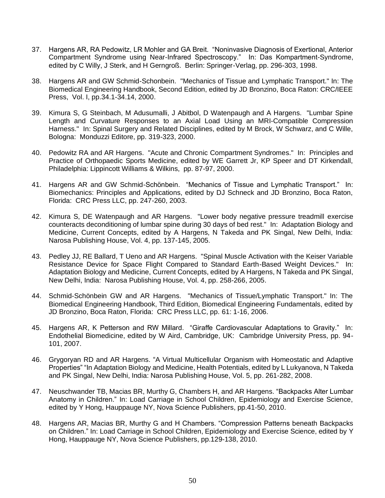- 37. Hargens AR, RA Pedowitz, LR Mohler and GA Breit. "Noninvasive Diagnosis of Exertional, Anterior Compartment Syndrome using Near-Infrared Spectroscopy." In: Das Kompartment-Syndrome, edited by C Willy, J Sterk, and H Gerngroß. Berlin: Springer-Verlag, pp. 296-303, 1998.
- 38. Hargens AR and GW Schmid-Schonbein. "Mechanics of Tissue and Lymphatic Transport." In: The Biomedical Engineering Handbook, Second Edition, edited by JD Bronzino, Boca Raton: CRC/IEEE Press, Vol. I, pp.34.1-34.14, 2000.
- 39. Kimura S, G Steinbach, M Adusumalli, J Abitbol, D Watenpaugh and A Hargens. "Lumbar Spine Length and Curvature Responses to an Axial Load Using an MRI-Compatible Compression Harness." In: Spinal Surgery and Related Disciplines, edited by M Brock, W Schwarz, and C Wille, Bologna: Monduzzi Editore, pp. 319-323, 2000.
- 40. Pedowitz RA and AR Hargens. "Acute and Chronic Compartment Syndromes." In: Principles and Practice of Orthopaedic Sports Medicine, edited by WE Garrett Jr, KP Speer and DT Kirkendall, Philadelphia: Lippincott Williams & Wilkins, pp. 87-97, 2000.
- 41. Hargens AR and GW Schmid-Schönbein. "Mechanics of Tissue and Lymphatic Transport." In: Biomechanics: Principles and Applications, edited by DJ Schneck and JD Bronzino, Boca Raton, Florida: CRC Press LLC, pp. 247-260, 2003.
- 42. Kimura S, DE Watenpaugh and AR Hargens. "Lower body negative pressure treadmill exercise counteracts deconditioning of lumbar spine during 30 days of bed rest." In: Adaptation Biology and Medicine, Current Concepts, edited by A Hargens, N Takeda and PK Singal, New Delhi, India: Narosa Publishing House, Vol. 4, pp. 137-145, 2005.
- 43. Pedley JJ, RE Ballard, T Ueno and AR Hargens. "Spinal Muscle Activation with the Keiser Variable Resistance Device for Space Flight Compared to Standard Earth-Based Weight Devices." In: Adaptation Biology and Medicine, Current Concepts, edited by A Hargens, N Takeda and PK Singal, New Delhi, India: Narosa Publishing House, Vol. 4, pp. 258-266, 2005.
- 44. Schmid-Schönbein GW and AR Hargens. "Mechanics of Tissue/Lymphatic Transport." In: The Biomedical Engineering Handbook, Third Edition, Biomedical Engineering Fundamentals, edited by JD Bronzino, Boca Raton, Florida: CRC Press LLC, pp. 61: 1-16, 2006.
- 45. Hargens AR, K Petterson and RW Millard. "Giraffe Cardiovascular Adaptations to Gravity." In: Endothelial Biomedicine, edited by W Aird, Cambridge, UK: Cambridge University Press, pp. 94- 101, 2007.
- 46. Grygoryan RD and AR Hargens. "A Virtual Multicellular Organism with Homeostatic and Adaptive Properties" "In Adaptation Biology and Medicine, Health Potentials, edited by L Lukyanova, N Takeda and PK Singal, New Delhi, India: Narosa Publishing House, Vol. 5, pp. 261-282, 2008.
- 47. Neuschwander TB, Macias BR, Murthy G, Chambers H, and AR Hargens. "Backpacks Alter Lumbar Anatomy in Children." In: Load Carriage in School Children, Epidemiology and Exercise Science, edited by Y Hong, Hauppauge NY, Nova Science Publishers, pp.41-50, 2010.
- 48. Hargens AR, Macias BR, Murthy G and H Chambers. "Compression Patterns beneath Backpacks on Children." In: Load Carriage in School Children, Epidemiology and Exercise Science, edited by Y Hong, Hauppauge NY, Nova Science Publishers, pp.129-138, 2010.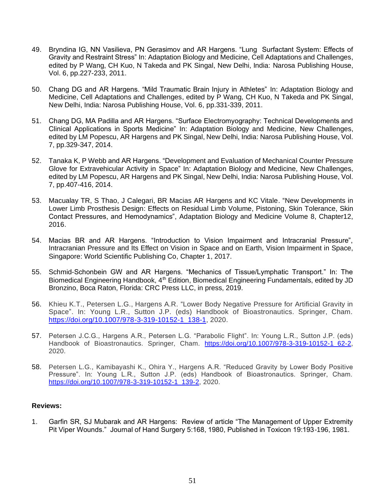- 49. Bryndina IG, NN Vasilieva, PN Gerasimov and AR Hargens. "Lung Surfactant System: Effects of Gravity and Restraint Stress" In: Adaptation Biology and Medicine, Cell Adaptations and Challenges, edited by P Wang, CH Kuo, N Takeda and PK Singal, New Delhi, India: Narosa Publishing House, Vol. 6, pp.227-233, 2011.
- 50. Chang DG and AR Hargens. "Mild Traumatic Brain Injury in Athletes" In: Adaptation Biology and Medicine, Cell Adaptations and Challenges, edited by P Wang, CH Kuo, N Takeda and PK Singal, New Delhi, India: Narosa Publishing House, Vol. 6, pp.331-339, 2011.
- 51. Chang DG, MA Padilla and AR Hargens. "Surface Electromyography: Technical Developments and Clinical Applications in Sports Medicine" In: Adaptation Biology and Medicine, New Challenges, edited by LM Popescu, AR Hargens and PK Singal, New Delhi, India: Narosa Publishing House, Vol. 7, pp.329-347, 2014.
- 52. Tanaka K, P Webb and AR Hargens. "Development and Evaluation of Mechanical Counter Pressure Glove for Extravehicular Activity in Space" In: Adaptation Biology and Medicine, New Challenges, edited by LM Popescu, AR Hargens and PK Singal, New Delhi, India: Narosa Publishing House, Vol. 7, pp.407-416, 2014.
- 53. Macualay TR, S Thao, J Calegari, BR Macias AR Hargens and KC Vitale. "New Developments in Lower Limb Prosthesis Design: Effects on Residual Limb Volume, Pistoning, Skin Tolerance, Skin Contact Pressures, and Hemodynamics", Adaptation Biology and Medicine Volume 8, Chapter12, 2016.
- 54. Macias BR and AR Hargens. "Introduction to Vision Impairment and Intracranial Pressure", Intracranian Pressure and Its Effect on Vision in Space and on Earth, Vision Impairment in Space, Singapore: World Scientific Publishing Co, Chapter 1, 2017.
- 55. Schmid-Schonbein GW and AR Hargens. "Mechanics of Tissue/Lymphatic Transport." In: The Biomedical Engineering Handbook, 4<sup>th</sup> Edition, Biomedical Engineering Fundamentals, edited by JD Bronzino, Boca Raton, Florida: CRC Press LLC, in press, 2019.
- 56. Khieu K.T., Petersen L.G., Hargens A.R. "Lower Body Negative Pressure for Artificial Gravity in Space". In: Young L.R., Sutton J.P. (eds) Handbook of Bioastronautics. Springer, Cham. [https://doi.org/10.1007/978-3-319-10152-1\\_138-1,](https://doi.org/10.1007/978-3-319-10152-1_138-1) 2020.
- 57. Petersen J.C.G., Hargens A.R., Petersen L.G. "Parabolic Flight". In: Young L.R., Sutton J.P. (eds) Handbook of Bioastronautics. Springer, Cham. https://doi.org/10.1007/978-3-319-10152-1 62-2, 2020.
- 58. Petersen L.G., Kamibayashi K., Ohira Y., Hargens A.R. "Reduced Gravity by Lower Body Positive Pressure". In: Young L.R., Sutton J.P. (eds) Handbook of Bioastronautics. Springer, Cham. [https://doi.org/10.1007/978-3-319-10152-1\\_139-2,](https://doi.org/10.1007/978-3-319-10152-1_139-2) 2020.

#### **Reviews:**

1. Garfin SR, SJ Mubarak and AR Hargens: Review of article "The Management of Upper Extremity Pit Viper Wounds." Journal of Hand Surgery 5:168, 1980, Published in Toxicon 19:193-196, 1981.